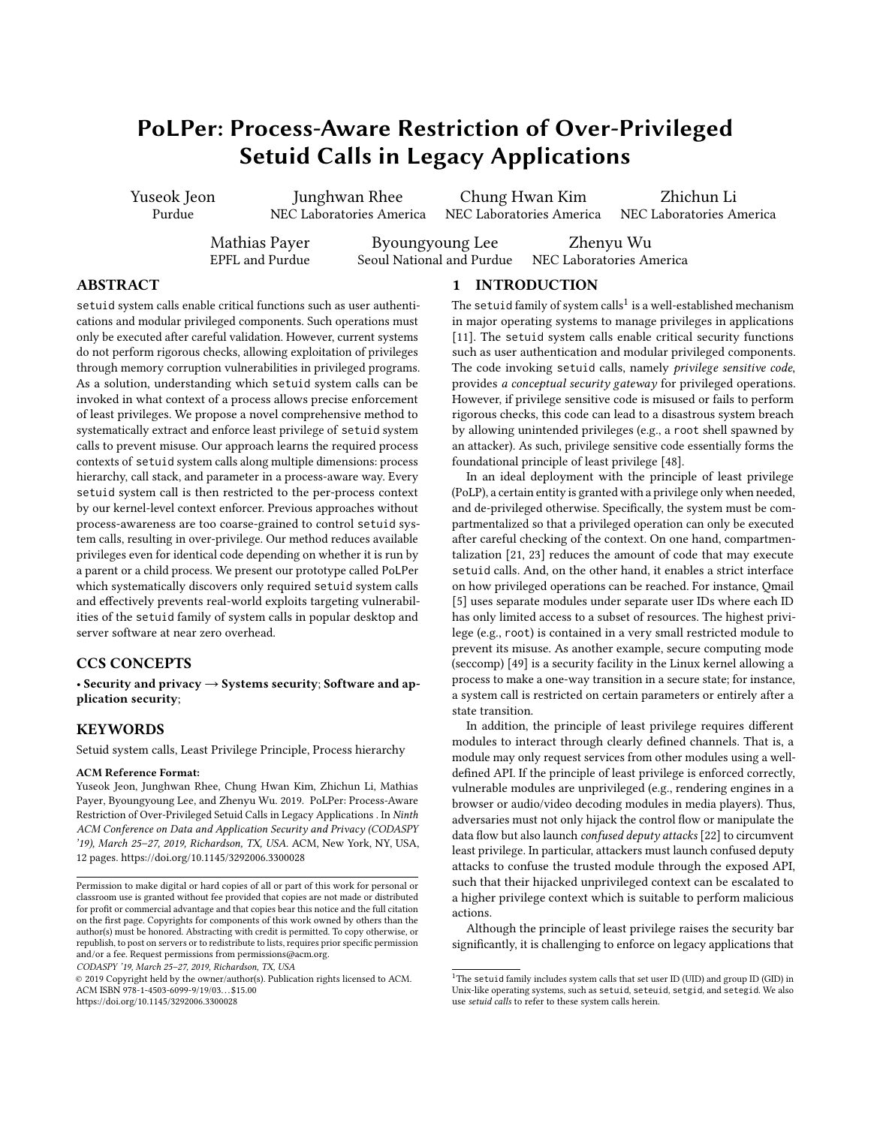# <span id="page-0-0"></span>PoLPer: Process-Aware Restriction of Over-Privileged Setuid Calls in Legacy Applications

Yuseok Jeon Purdue

Junghwan Rhee NEC Laboratories America

Chung Hwan Kim NEC Laboratories America

Zhichun Li NEC Laboratories America

Mathias Payer EPFL and Purdue

Byoungyoung Lee Seoul National and Purdue

Zhenyu Wu NEC Laboratories America

## ABSTRACT

setuid system calls enable critical functions such as user authentications and modular privileged components. Such operations must only be executed after careful validation. However, current systems do not perform rigorous checks, allowing exploitation of privileges through memory corruption vulnerabilities in privileged programs. As a solution, understanding which setuid system calls can be invoked in what context of a process allows precise enforcement of least privileges. We propose a novel comprehensive method to systematically extract and enforce least privilege of setuid system calls to prevent misuse. Our approach learns the required process contexts of setuid system calls along multiple dimensions: process hierarchy, call stack, and parameter in a process-aware way. Every setuid system call is then restricted to the per-process context by our kernel-level context enforcer. Previous approaches without process-awareness are too coarse-grained to control setuid system calls, resulting in over-privilege. Our method reduces available privileges even for identical code depending on whether it is run by a parent or a child process. We present our prototype called PoLPer which systematically discovers only required setuid system calls and effectively prevents real-world exploits targeting vulnerabilities of the setuid family of system calls in popular desktop and server software at near zero overhead.

#### CCS CONCEPTS

• Security and privacy  $\rightarrow$  Systems security; Software and application security;

## **KEYWORDS**

Setuid system calls, Least Privilege Principle, Process hierarchy

#### ACM Reference Format:

Yuseok Jeon, Junghwan Rhee, Chung Hwan Kim, Zhichun Li, Mathias Payer, Byoungyoung Lee, and Zhenyu Wu. 2019. PoLPer: Process-Aware Restriction of Over-Privileged Setuid Calls in Legacy Applications . In Ninth ACM Conference on Data and Application Security and Privacy (CODASPY '19), March 25–27, 2019, Richardson, TX, USA. ACM, New York, NY, USA, [12](#page-11-0) pages.<https://doi.org/10.1145/3292006.3300028>

© 2019 Copyright held by the owner/author(s). Publication rights licensed to ACM. ACM ISBN 978-1-4503-6099-9/19/03. . . \$15.00 <https://doi.org/10.1145/3292006.3300028>

### 1 INTRODUCTION

The setuid family of system calls $^1$  is a well-established mechanism in major operating systems to manage privileges in applications [\[11\]](#page-11-1). The setuid system calls enable critical security functions such as user authentication and modular privileged components. The code invoking setuid calls, namely privilege sensitive code, provides a conceptual security gateway for privileged operations. However, if privilege sensitive code is misused or fails to perform rigorous checks, this code can lead to a disastrous system breach by allowing unintended privileges (e.g., a root shell spawned by an attacker). As such, privilege sensitive code essentially forms the foundational principle of least privilege [\[48\]](#page-11-2).

In an ideal deployment with the principle of least privilege (PoLP), a certain entity is granted with a privilege only when needed, and de-privileged otherwise. Specifically, the system must be compartmentalized so that a privileged operation can only be executed after careful checking of the context. On one hand, compartmentalization [\[21,](#page-11-3) [23\]](#page-11-4) reduces the amount of code that may execute setuid calls. And, on the other hand, it enables a strict interface on how privileged operations can be reached. For instance, Qmail [\[5\]](#page-11-5) uses separate modules under separate user IDs where each ID has only limited access to a subset of resources. The highest privilege (e.g., root) is contained in a very small restricted module to prevent its misuse. As another example, secure computing mode (seccomp) [\[49\]](#page-11-6) is a security facility in the Linux kernel allowing a process to make a one-way transition in a secure state; for instance, a system call is restricted on certain parameters or entirely after a state transition.

In addition, the principle of least privilege requires different modules to interact through clearly defined channels. That is, a module may only request services from other modules using a welldefined API. If the principle of least privilege is enforced correctly, vulnerable modules are unprivileged (e.g., rendering engines in a browser or audio/video decoding modules in media players). Thus, adversaries must not only hijack the control flow or manipulate the data flow but also launch confused deputy attacks [\[22\]](#page-11-7) to circumvent least privilege. In particular, attackers must launch confused deputy attacks to confuse the trusted module through the exposed API, such that their hijacked unprivileged context can be escalated to a higher privilege context which is suitable to perform malicious actions.

Although the principle of least privilege raises the security bar significantly, it is challenging to enforce on legacy applications that

Permission to make digital or hard copies of all or part of this work for personal or classroom use is granted without fee provided that copies are not made or distributed for profit or commercial advantage and that copies bear this notice and the full citation on the first page. Copyrights for components of this work owned by others than the author(s) must be honored. Abstracting with credit is permitted. To copy otherwise, or republish, to post on servers or to redistribute to lists, requires prior specific permission and/or a fee. Request permissions from permissions@acm.org.

CODASPY '19, March 25–27, 2019, Richardson, TX, USA

 $^1\mathrm{The}$  setuid family includes system calls that set user ID (UID) and group ID (GID) in Unix-like operating systems, such as setuid, seteuid, setgid, and setegid. We also use setuid calls to refer to these system calls herein.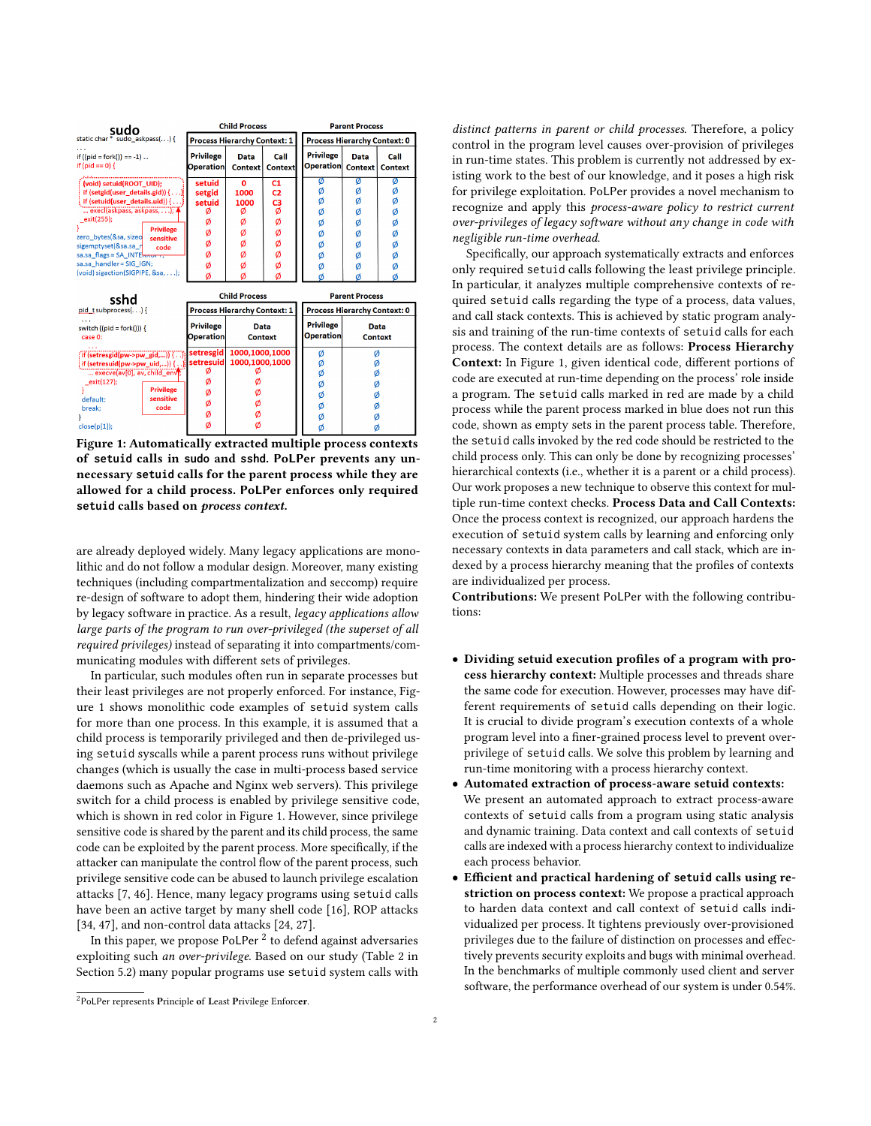<span id="page-1-0"></span>

| sudo                                                                                                                                                                                                                                                                                                                                                        |                                                               | <b>Child Process</b>                                 |                                                               |                                                | <b>Parent Process</b>                          |                                                |
|-------------------------------------------------------------------------------------------------------------------------------------------------------------------------------------------------------------------------------------------------------------------------------------------------------------------------------------------------------------|---------------------------------------------------------------|------------------------------------------------------|---------------------------------------------------------------|------------------------------------------------|------------------------------------------------|------------------------------------------------|
| static char <sup>*</sup> sudo askpass() {                                                                                                                                                                                                                                                                                                                   | <b>Process Hierarchy Context: 1</b>                           |                                                      |                                                               | <b>Process Hierarchy Context: 0</b>            |                                                |                                                |
| if $((pid = fork()) == -1) $<br>if (pid == 0) {                                                                                                                                                                                                                                                                                                             | <b>Privilege</b><br>Operation                                 | Data<br>Context                                      | Call<br><b>Context</b>                                        | <b>Privilege</b><br>Operation                  | Data<br>Context                                | Call<br><b>Context</b>                         |
| (void) setuid(ROOT UID):<br>if (setgid(user_details.gid)) {}<br>$\frac{1}{2}$ if (setuid(user_details.uid)) {}<br>execl(askpass, askpass,); 4<br>_exit(255);<br><b>Privilege</b><br>zero bytes(&sa, sizeo<br>sensitive<br>sigemptyset(&sa.sa_n<br>code<br>sa.sa flags = SA INTE $\frac{1}{2}$<br>sa.sa_handler=SIG_IGN;<br>(void) sigaction(SIGPIPE, &sa,); | setuid<br>setgid<br>setuid<br>ø<br>Ø<br>Ø<br>Ø<br>Ø<br>ø<br>ø | O<br>1000<br>1000<br>ø<br>ø<br>ø<br>ø<br>ø<br>ø<br>Ø | C1<br>C <sub>2</sub><br>C3<br>ø<br>ø<br>ø<br>ø<br>ø<br>ø<br>Ø | ø<br>ø<br>ø<br>Ø<br>ø<br>Ø<br>Ø<br>Ø<br>Ø<br>ø | ø<br>ø<br>Ø<br>Ø<br>ø<br>ø<br>Ø<br>ø<br>ø<br>ø | Ø<br>ø<br>ø<br>ø<br>ø<br>ø<br>ø<br>ø<br>Ø<br>Ø |
| sshd                                                                                                                                                                                                                                                                                                                                                        |                                                               | <b>Child Process</b>                                 |                                                               |                                                | <b>Parent Process</b>                          |                                                |
| $pid\_t$ subprocess $($ $)$ $\{$                                                                                                                                                                                                                                                                                                                            | <b>Process Hierarchy Context: 1</b>                           |                                                      |                                                               | <b>Process Hierarchy Context: 0</b>            |                                                |                                                |
| switch $((pid = fork())$ } {<br>case 0:                                                                                                                                                                                                                                                                                                                     | <b>Privilege</b><br>Operation                                 | Data<br><b>Context</b>                               |                                                               | <b>Privilege</b><br><b>Operation</b>           | <b>Data</b><br><b>Context</b>                  |                                                |
| $\{ \text{ if } (\text{setresgid}(\text{pw->pw\_gid},)) \}$<br>[if (setresuid(pw->pw_uid,)) {}<br>execve(av[0], av, child env);<br>exit(127);<br><b>Privilege</b><br>sensitive<br>default:<br>code<br>break;<br>$close(p[1])$ ;                                                                                                                             | setresgid<br>setresuid<br>ø<br>ø<br>ø<br>Ø<br>ø<br>ø          | 1000,1000,1000<br>1000,1000,1000<br>Ø                |                                                               | ø<br>ø<br>Ø<br>Ø<br>Ø<br>ø<br>Ø<br>Ø           | Ø<br>ø<br>ø<br>Ø<br>Ø<br>Ø<br>ø<br>ø           |                                                |

Figure 1: Automatically extracted multiple process contexts of **setuid** calls in **sudo** and **sshd**. PoLPer prevents any unnecessary **setuid** calls for the parent process while they are allowed for a child process. PoLPer enforces only required **setuid** calls based on process context.

are already deployed widely. Many legacy applications are monolithic and do not follow a modular design. Moreover, many existing techniques (including compartmentalization and seccomp) require re-design of software to adopt them, hindering their wide adoption by legacy software in practice. As a result, legacy applications allow large parts of the program to run over-privileged (the superset of all required privileges) instead of separating it into compartments/communicating modules with different sets of privileges.

In particular, such modules often run in separate processes but their least privileges are not properly enforced. For instance, Figure [1](#page-1-0) shows monolithic code examples of setuid system calls for more than one process. In this example, it is assumed that a child process is temporarily privileged and then de-privileged using setuid syscalls while a parent process runs without privilege changes (which is usually the case in multi-process based service daemons such as Apache and Nginx web servers). This privilege switch for a child process is enabled by privilege sensitive code, which is shown in red color in Figure [1.](#page-1-0) However, since privilege sensitive code is shared by the parent and its child process, the same code can be exploited by the parent process. More specifically, if the attacker can manipulate the control flow of the parent process, such privilege sensitive code can be abused to launch privilege escalation attacks [\[7,](#page-11-8) [46\]](#page-11-9). Hence, many legacy programs using setuid calls have been an active target by many shell code [\[16\]](#page-11-10), ROP attacks [\[34,](#page-11-11) [47\]](#page-11-12), and non-control data attacks [\[24,](#page-11-13) [27\]](#page-11-14).

In this paper, we propose PoLPer  $^2$  $^2$  to defend against adversaries exploiting such an over-privilege. Based on our study (Table [2](#page-6-0) in Section [5.2\)](#page-5-0) many popular programs use setuid system calls with

distinct patterns in parent or child processes. Therefore, a policy control in the program level causes over-provision of privileges in run-time states. This problem is currently not addressed by existing work to the best of our knowledge, and it poses a high risk for privilege exploitation. PoLPer provides a novel mechanism to recognize and apply this process-aware policy to restrict current over-privileges of legacy software without any change in code with negligible run-time overhead.

Specifically, our approach systematically extracts and enforces only required setuid calls following the least privilege principle. In particular, it analyzes multiple comprehensive contexts of required setuid calls regarding the type of a process, data values, and call stack contexts. This is achieved by static program analysis and training of the run-time contexts of setuid calls for each process. The context details are as follows: Process Hierarchy Context: In Figure [1,](#page-1-0) given identical code, different portions of code are executed at run-time depending on the process' role inside a program. The setuid calls marked in red are made by a child process while the parent process marked in blue does not run this code, shown as empty sets in the parent process table. Therefore, the setuid calls invoked by the red code should be restricted to the child process only. This can only be done by recognizing processes' hierarchical contexts (i.e., whether it is a parent or a child process). Our work proposes a new technique to observe this context for multiple run-time context checks. Process Data and Call Contexts: Once the process context is recognized, our approach hardens the execution of setuid system calls by learning and enforcing only necessary contexts in data parameters and call stack, which are indexed by a process hierarchy meaning that the profiles of contexts are individualized per process.

Contributions: We present PoLPer with the following contributions:

- Dividing setuid execution profiles of a program with process hierarchy context: Multiple processes and threads share the same code for execution. However, processes may have different requirements of setuid calls depending on their logic. It is crucial to divide program's execution contexts of a whole program level into a finer-grained process level to prevent overprivilege of setuid calls. We solve this problem by learning and run-time monitoring with a process hierarchy context.
- Automated extraction of process-aware setuid contexts: We present an automated approach to extract process-aware contexts of setuid calls from a program using static analysis and dynamic training. Data context and call contexts of setuid calls are indexed with a process hierarchy context to individualize each process behavior.
- Efficient and practical hardening of **setuid** calls using restriction on process context: We propose a practical approach to harden data context and call context of setuid calls individualized per process. It tightens previously over-provisioned privileges due to the failure of distinction on processes and effectively prevents security exploits and bugs with minimal overhead. In the benchmarks of multiple commonly used client and server software, the performance overhead of our system is under 0.54%.

 $^{2}$  PoLPer represents Principle of Least Privilege Enforcer.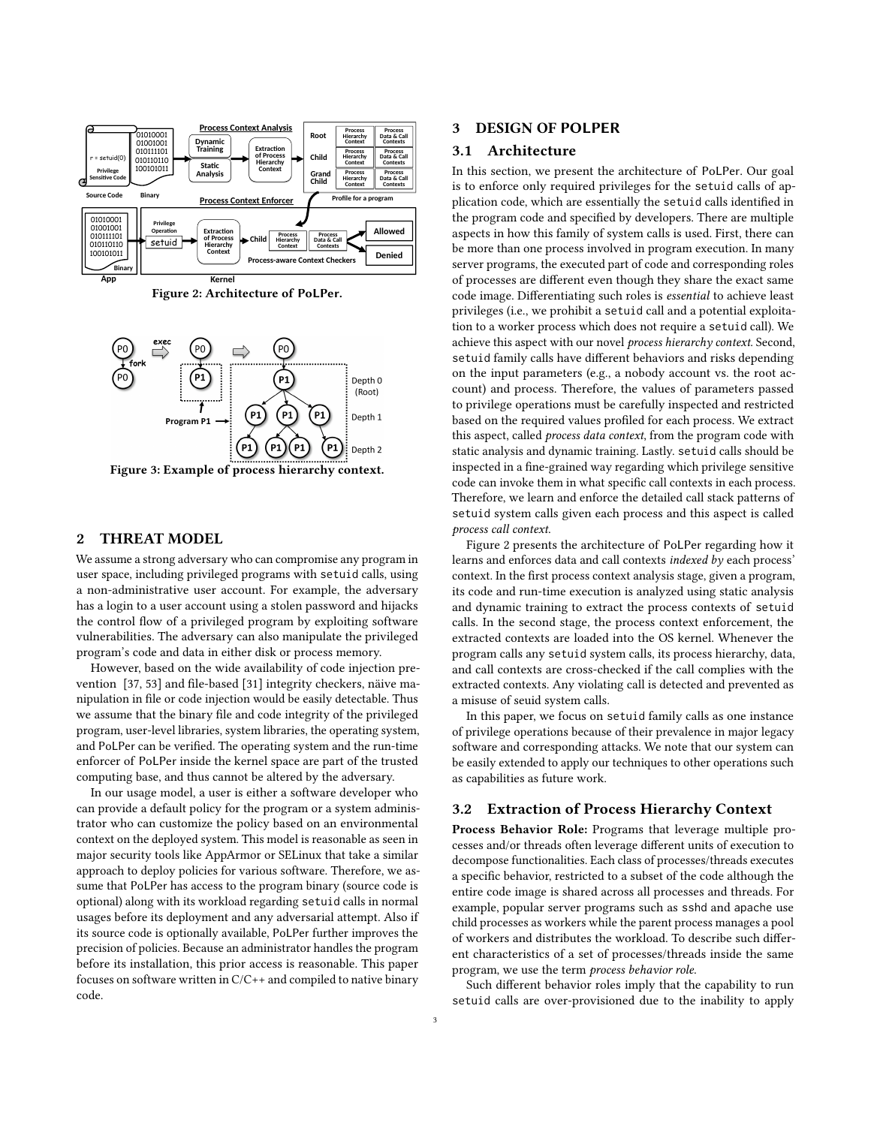<span id="page-2-0"></span>

Figure 2: Architecture of PoLPer.

<span id="page-2-1"></span>

Figure 3: Example of process hierarchy context.

## <span id="page-2-2"></span>2 THREAT MODEL

We assume a strong adversary who can compromise any program in user space, including privileged programs with setuid calls, using a non-administrative user account. For example, the adversary has a login to a user account using a stolen password and hijacks the control flow of a privileged program by exploiting software vulnerabilities. The adversary can also manipulate the privileged program's code and data in either disk or process memory.

However, based on the wide availability of code injection prevention [\[37,](#page-11-15) [53\]](#page-11-16) and file-based [\[31\]](#page-11-17) integrity checkers, näive manipulation in file or code injection would be easily detectable. Thus we assume that the binary file and code integrity of the privileged program, user-level libraries, system libraries, the operating system, and PoLPer can be verified. The operating system and the run-time enforcer of PoLPer inside the kernel space are part of the trusted computing base, and thus cannot be altered by the adversary.

In our usage model, a user is either a software developer who can provide a default policy for the program or a system administrator who can customize the policy based on an environmental context on the deployed system. This model is reasonable as seen in major security tools like AppArmor or SELinux that take a similar approach to deploy policies for various software. Therefore, we assume that PoLPer has access to the program binary (source code is optional) along with its workload regarding setuid calls in normal usages before its deployment and any adversarial attempt. Also if its source code is optionally available, PoLPer further improves the precision of policies. Because an administrator handles the program before its installation, this prior access is reasonable. This paper focuses on software written in C/C++ and compiled to native binary code.

## 3 DESIGN OF POLPER

#### 3.1 Architecture

In this section, we present the architecture of PoLPer. Our goal is to enforce only required privileges for the setuid calls of application code, which are essentially the setuid calls identified in the program code and specified by developers. There are multiple aspects in how this family of system calls is used. First, there can be more than one process involved in program execution. In many server programs, the executed part of code and corresponding roles of processes are different even though they share the exact same code image. Differentiating such roles is essential to achieve least privileges (i.e., we prohibit a setuid call and a potential exploitation to a worker process which does not require a setuid call). We achieve this aspect with our novel process hierarchy context. Second, setuid family calls have different behaviors and risks depending on the input parameters (e.g., a nobody account vs. the root account) and process. Therefore, the values of parameters passed to privilege operations must be carefully inspected and restricted based on the required values profiled for each process. We extract this aspect, called *process data context*, from the program code with static analysis and dynamic training. Lastly. setuid calls should be inspected in a fine-grained way regarding which privilege sensitive code can invoke them in what specific call contexts in each process. Therefore, we learn and enforce the detailed call stack patterns of setuid system calls given each process and this aspect is called process call context.

Figure [2](#page-2-0) presents the architecture of PoLPer regarding how it learns and enforces data and call contexts indexed by each process' context. In the first process context analysis stage, given a program, its code and run-time execution is analyzed using static analysis and dynamic training to extract the process contexts of setuid calls. In the second stage, the process context enforcement, the extracted contexts are loaded into the OS kernel. Whenever the program calls any setuid system calls, its process hierarchy, data, and call contexts are cross-checked if the call complies with the extracted contexts. Any violating call is detected and prevented as a misuse of seuid system calls.

In this paper, we focus on setuid family calls as one instance of privilege operations because of their prevalence in major legacy software and corresponding attacks. We note that our system can be easily extended to apply our techniques to other operations such as capabilities as future work.

#### 3.2 Extraction of Process Hierarchy Context

Process Behavior Role: Programs that leverage multiple processes and/or threads often leverage different units of execution to decompose functionalities. Each class of processes/threads executes a specific behavior, restricted to a subset of the code although the entire code image is shared across all processes and threads. For example, popular server programs such as sshd and apache use child processes as workers while the parent process manages a pool of workers and distributes the workload. To describe such different characteristics of a set of processes/threads inside the same program, we use the term process behavior role.

Such different behavior roles imply that the capability to run setuid calls are over-provisioned due to the inability to apply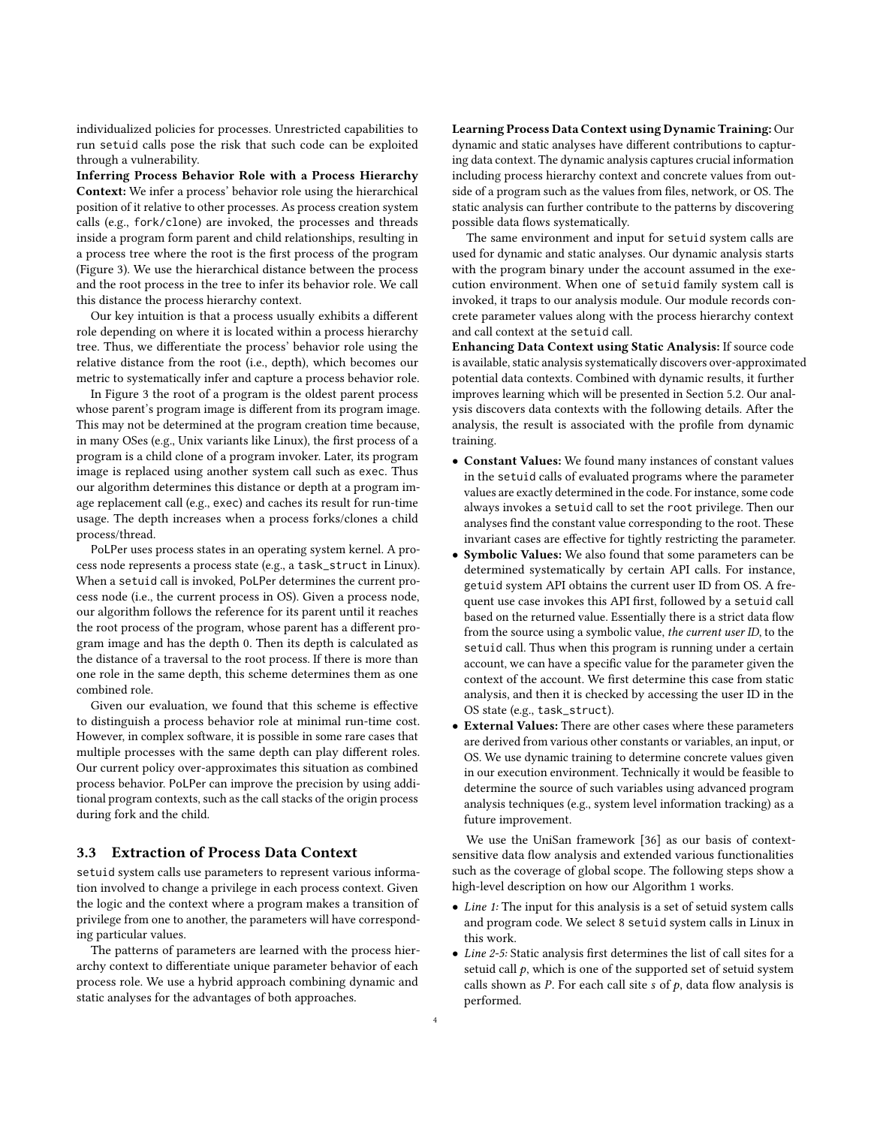individualized policies for processes. Unrestricted capabilities to run setuid calls pose the risk that such code can be exploited through a vulnerability.

Inferring Process Behavior Role with a Process Hierarchy Context: We infer a process' behavior role using the hierarchical position of it relative to other processes. As process creation system calls (e.g., fork/clone) are invoked, the processes and threads inside a program form parent and child relationships, resulting in a process tree where the root is the first process of the program (Figure [3\)](#page-2-1). We use the hierarchical distance between the process and the root process in the tree to infer its behavior role. We call this distance the process hierarchy context.

Our key intuition is that a process usually exhibits a different role depending on where it is located within a process hierarchy tree. Thus, we differentiate the process' behavior role using the relative distance from the root (i.e., depth), which becomes our metric to systematically infer and capture a process behavior role.

In Figure [3](#page-2-1) the root of a program is the oldest parent process whose parent's program image is different from its program image. This may not be determined at the program creation time because, in many OSes (e.g., Unix variants like Linux), the first process of a program is a child clone of a program invoker. Later, its program image is replaced using another system call such as exec. Thus our algorithm determines this distance or depth at a program image replacement call (e.g., exec) and caches its result for run-time usage. The depth increases when a process forks/clones a child process/thread.

PoLPer uses process states in an operating system kernel. A process node represents a process state (e.g., a task\_struct in Linux). When a setuid call is invoked, PoLPer determines the current process node (i.e., the current process in OS). Given a process node, our algorithm follows the reference for its parent until it reaches the root process of the program, whose parent has a different program image and has the depth 0. Then its depth is calculated as the distance of a traversal to the root process. If there is more than one role in the same depth, this scheme determines them as one combined role.

Given our evaluation, we found that this scheme is effective to distinguish a process behavior role at minimal run-time cost. However, in complex software, it is possible in some rare cases that multiple processes with the same depth can play different roles. Our current policy over-approximates this situation as combined process behavior. PoLPer can improve the precision by using additional program contexts, such as the call stacks of the origin process during fork and the child.

#### 3.3 Extraction of Process Data Context

setuid system calls use parameters to represent various information involved to change a privilege in each process context. Given the logic and the context where a program makes a transition of privilege from one to another, the parameters will have corresponding particular values.

The patterns of parameters are learned with the process hierarchy context to differentiate unique parameter behavior of each process role. We use a hybrid approach combining dynamic and static analyses for the advantages of both approaches.

Learning Process Data Context using Dynamic Training: Our dynamic and static analyses have different contributions to capturing data context. The dynamic analysis captures crucial information including process hierarchy context and concrete values from outside of a program such as the values from files, network, or OS. The static analysis can further contribute to the patterns by discovering possible data flows systematically.

The same environment and input for setuid system calls are used for dynamic and static analyses. Our dynamic analysis starts with the program binary under the account assumed in the execution environment. When one of setuid family system call is invoked, it traps to our analysis module. Our module records concrete parameter values along with the process hierarchy context and call context at the setuid call.

Enhancing Data Context using Static Analysis: If source code is available, static analysis systematically discovers over-approximated potential data contexts. Combined with dynamic results, it further improves learning which will be presented in Section [5.2.](#page-5-0) Our analysis discovers data contexts with the following details. After the analysis, the result is associated with the profile from dynamic training.

- Constant Values: We found many instances of constant values in the setuid calls of evaluated programs where the parameter values are exactly determined in the code. For instance, some code always invokes a setuid call to set the root privilege. Then our analyses find the constant value corresponding to the root. These invariant cases are effective for tightly restricting the parameter.
- Symbolic Values: We also found that some parameters can be determined systematically by certain API calls. For instance, getuid system API obtains the current user ID from OS. A frequent use case invokes this API first, followed by a setuid call based on the returned value. Essentially there is a strict data flow from the source using a symbolic value, the current user ID, to the setuid call. Thus when this program is running under a certain account, we can have a specific value for the parameter given the context of the account. We first determine this case from static analysis, and then it is checked by accessing the user ID in the OS state (e.g., task\_struct).
- External Values: There are other cases where these parameters are derived from various other constants or variables, an input, or OS. We use dynamic training to determine concrete values given in our execution environment. Technically it would be feasible to determine the source of such variables using advanced program analysis techniques (e.g., system level information tracking) as a future improvement.

We use the UniSan framework [\[36\]](#page-11-18) as our basis of contextsensitive data flow analysis and extended various functionalities such as the coverage of global scope. The following steps show a high-level description on how our Algorithm [1](#page-4-0) works.

- Line 1: The input for this analysis is a set of setuid system calls and program code. We select 8 setuid system calls in Linux in this work.
- Line 2-5: Static analysis first determines the list of call sites for a setuid call  $p$ , which is one of the supported set of setuid system calls shown as  $P$ . For each call site  $s$  of  $p$ , data flow analysis is performed.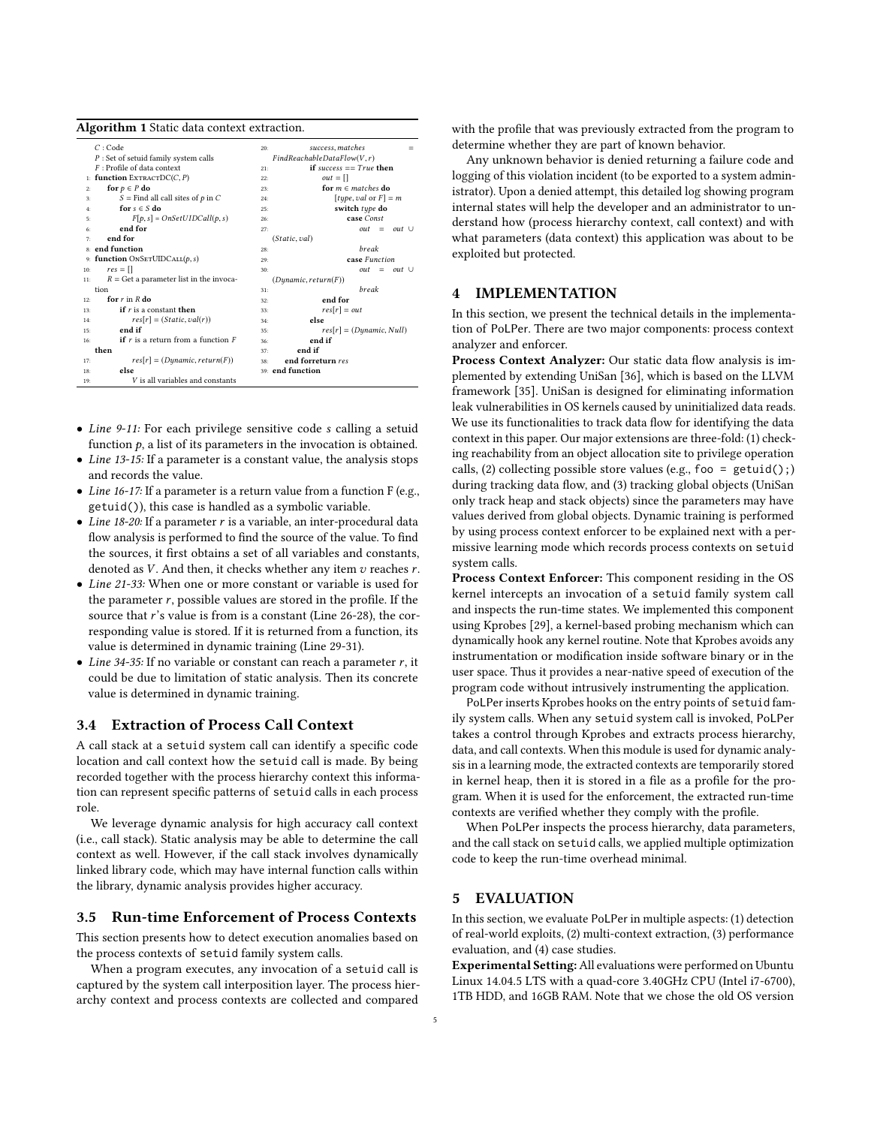|     | Algorithm I static uata comext extraction.       |     |                            |
|-----|--------------------------------------------------|-----|----------------------------|
|     | C:Code                                           | 20: | success, matches           |
|     | $P$ : Set of setuid family system calls          |     | FindReachableDataFlow(V,r) |
|     | $F$ : Profile of data context                    | 21: | if success $== True$ then  |
|     | 1: function EXTRACTDC(C, P)                      | 22: | $out = []$                 |
| 2:  | for $p \in P$ do                                 | 23: | for $m \in$ matches do     |
| 3:  | S = Find all call sites of $p$ in C              | 24: | [type, val or $F$ ] = m    |
| 4:  | for $s \in S$ do                                 | 25: | switch type do             |
| 5:  | $F[p,s] = OnSetUIDCall(p,s)$                     | 26: | case Const                 |
| 6:  | end for                                          | 27: | out<br>$out$ $\cup$<br>$=$ |
| 7:  | end for                                          |     | (Static, val)              |
|     | s: end function                                  | 28: | <b>break</b>               |
|     | 9: function $ONSETUIDCALL(p, s)$                 | 29: | case Function              |
| 10: | $res = \Box$                                     | 30: | out<br>$out \cup$<br>$=$   |
| 11: | $R = \text{Get}$ a parameter list in the invoca- |     | (Dynamic, return(F))       |
|     | tion                                             | 31: | break                      |
| 12: | for $r$ in $R$ do                                | 32: | end for                    |
| 13: | if $r$ is a constant then                        | 33: | $res[r] = out$             |
| 14: | $res[r] = (Static, val(r))$                      | 34: | else                       |
| 15: | end if                                           | 35: | $res[r] = (Dynamic, Null)$ |
| 16: | <b>if</b> $r$ is a return from a function $F$    | 36: | end if                     |
|     | then                                             | 37: | end if                     |
| 17: | $res[r] = (Dynamic, return(F))$                  | 38: | end forreturn res          |
| 18: | else                                             |     | 39: end function           |
| 19: | V is all variables and constants                 |     |                            |
|     |                                                  |     |                            |

<span id="page-4-0"></span>Algorithm 1 Static data context extraction.

- Line 9-11: For each privilege sensitive code s calling a setuid function  $p$ , a list of its parameters in the invocation is obtained.
- Line 13-15: If a parameter is a constant value, the analysis stops and records the value.
- Line 16-17: If a parameter is a return value from a function F (e.g., getuid()), this case is handled as a symbolic variable.
- Line  $18-20$ : If a parameter r is a variable, an inter-procedural data flow analysis is performed to find the source of the value. To find the sources, it first obtains a set of all variables and constants, denoted as  $V$ . And then, it checks whether any item  $v$  reaches  $r$ .
- Line 21-33: When one or more constant or variable is used for the parameter  $r$ , possible values are stored in the profile. If the source that r's value is from is a constant (Line 26-28), the corresponding value is stored. If it is returned from a function, its value is determined in dynamic training (Line 29-31).
- Line 34-35: If no variable or constant can reach a parameter  $r$ , it could be due to limitation of static analysis. Then its concrete value is determined in dynamic training.

## 3.4 Extraction of Process Call Context

A call stack at a setuid system call can identify a specific code location and call context how the setuid call is made. By being recorded together with the process hierarchy context this information can represent specific patterns of setuid calls in each process role.

We leverage dynamic analysis for high accuracy call context (i.e., call stack). Static analysis may be able to determine the call context as well. However, if the call stack involves dynamically linked library code, which may have internal function calls within the library, dynamic analysis provides higher accuracy.

#### 3.5 Run-time Enforcement of Process Contexts

This section presents how to detect execution anomalies based on the process contexts of setuid family system calls.

When a program executes, any invocation of a setuid call is captured by the system call interposition layer. The process hierarchy context and process contexts are collected and compared

with the profile that was previously extracted from the program to determine whether they are part of known behavior.

Any unknown behavior is denied returning a failure code and logging of this violation incident (to be exported to a system administrator). Upon a denied attempt, this detailed log showing program internal states will help the developer and an administrator to understand how (process hierarchy context, call context) and with what parameters (data context) this application was about to be exploited but protected.

#### 4 IMPLEMENTATION

In this section, we present the technical details in the implementation of PoLPer. There are two major components: process context analyzer and enforcer.

Process Context Analyzer: Our static data flow analysis is implemented by extending UniSan [\[36\]](#page-11-18), which is based on the LLVM framework [\[35\]](#page-11-19). UniSan is designed for eliminating information leak vulnerabilities in OS kernels caused by uninitialized data reads. We use its functionalities to track data flow for identifying the data context in this paper. Our major extensions are three-fold: (1) checking reachability from an object allocation site to privilege operation calls, (2) collecting possible store values (e.g., foo =  $getuid()$ ;) during tracking data flow, and (3) tracking global objects (UniSan only track heap and stack objects) since the parameters may have values derived from global objects. Dynamic training is performed by using process context enforcer to be explained next with a permissive learning mode which records process contexts on setuid system calls.

Process Context Enforcer: This component residing in the OS kernel intercepts an invocation of a setuid family system call and inspects the run-time states. We implemented this component using Kprobes [\[29\]](#page-11-20), a kernel-based probing mechanism which can dynamically hook any kernel routine. Note that Kprobes avoids any instrumentation or modification inside software binary or in the user space. Thus it provides a near-native speed of execution of the program code without intrusively instrumenting the application.

PoLPer inserts Kprobes hooks on the entry points of setuid family system calls. When any setuid system call is invoked, PoLPer takes a control through Kprobes and extracts process hierarchy, data, and call contexts. When this module is used for dynamic analysis in a learning mode, the extracted contexts are temporarily stored in kernel heap, then it is stored in a file as a profile for the program. When it is used for the enforcement, the extracted run-time contexts are verified whether they comply with the profile.

When PoLPer inspects the process hierarchy, data parameters, and the call stack on setuid calls, we applied multiple optimization code to keep the run-time overhead minimal.

#### 5 EVALUATION

In this section, we evaluate PoLPer in multiple aspects: (1) detection of real-world exploits, (2) multi-context extraction, (3) performance evaluation, and (4) case studies.

Experimental Setting: All evaluations were performed on Ubuntu Linux 14.04.5 LTS with a quad-core 3.40GHz CPU (Intel i7-6700), 1TB HDD, and 16GB RAM. Note that we chose the old OS version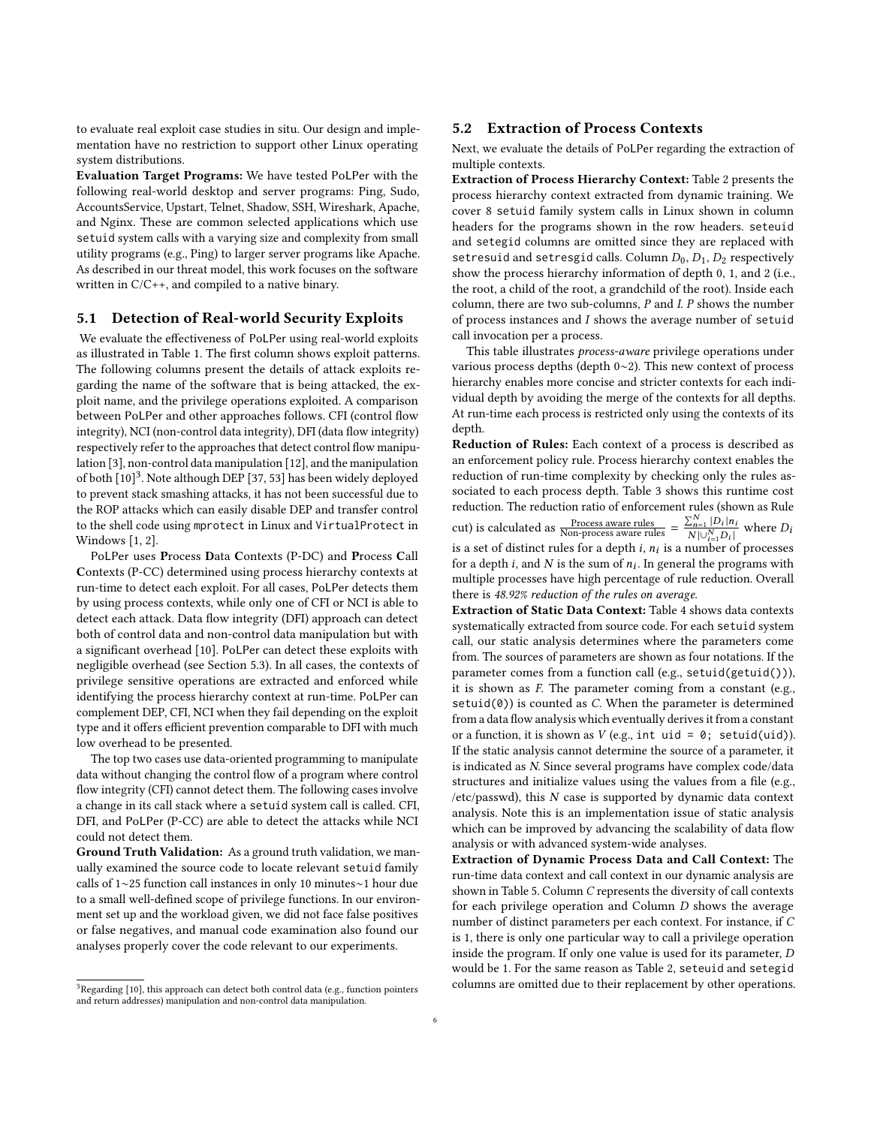to evaluate real exploit case studies in situ. Our design and implementation have no restriction to support other Linux operating system distributions.

Evaluation Target Programs: We have tested PoLPer with the following real-world desktop and server programs: Ping, Sudo, AccountsService, Upstart, Telnet, Shadow, SSH, Wireshark, Apache, and Nginx. These are common selected applications which use setuid system calls with a varying size and complexity from small utility programs (e.g., Ping) to larger server programs like Apache. As described in our threat model, this work focuses on the software written in C/C++, and compiled to a native binary.

#### 5.1 Detection of Real-world Security Exploits

We evaluate the effectiveness of PoLPer using real-world exploits as illustrated in Table [1.](#page-6-1) The first column shows exploit patterns. The following columns present the details of attack exploits regarding the name of the software that is being attacked, the exploit name, and the privilege operations exploited. A comparison between PoLPer and other approaches follows. CFI (control flow integrity), NCI (non-control data integrity), DFI (data flow integrity) respectively refer to the approaches that detect control flow manipulation [\[3\]](#page-11-21), non-control data manipulation [\[12\]](#page-11-22), and the manipulation of both [\[10\]](#page-11-23) [3](#page-0-0) . Note although DEP [\[37,](#page-11-15) [53\]](#page-11-16) has been widely deployed to prevent stack smashing attacks, it has not been successful due to the ROP attacks which can easily disable DEP and transfer control to the shell code using mprotect in Linux and VirtualProtect in Windows [\[1,](#page-11-24) [2\]](#page-11-25).

PoLPer uses Process Data Contexts (P-DC) and Process Call Contexts (P-CC) determined using process hierarchy contexts at run-time to detect each exploit. For all cases, PoLPer detects them by using process contexts, while only one of CFI or NCI is able to detect each attack. Data flow integrity (DFI) approach can detect both of control data and non-control data manipulation but with a significant overhead [\[10\]](#page-11-23). PoLPer can detect these exploits with negligible overhead (see Section [5.3\)](#page-6-2). In all cases, the contexts of privilege sensitive operations are extracted and enforced while identifying the process hierarchy context at run-time. PoLPer can complement DEP, CFI, NCI when they fail depending on the exploit type and it offers efficient prevention comparable to DFI with much low overhead to be presented.

The top two cases use data-oriented programming to manipulate data without changing the control flow of a program where control flow integrity (CFI) cannot detect them. The following cases involve a change in its call stack where a setuid system call is called. CFI, DFI, and PoLPer (P-CC) are able to detect the attacks while NCI could not detect them.

Ground Truth Validation: As a ground truth validation, we manually examined the source code to locate relevant setuid family calls of 1∼25 function call instances in only 10 minutes∼1 hour due to a small well-defined scope of privilege functions. In our environment set up and the workload given, we did not face false positives or false negatives, and manual code examination also found our analyses properly cover the code relevant to our experiments.

#### $^3{\rm Regarding}$  [\[10\]](#page-11-23), this approach can detect both control data (e.g., function pointers and return addresses) manipulation and non-control data manipulation.

### <span id="page-5-0"></span>5.2 Extraction of Process Contexts

Next, we evaluate the details of PoLPer regarding the extraction of multiple contexts.

Extraction of Process Hierarchy Context: Table [2](#page-6-0) presents the process hierarchy context extracted from dynamic training. We cover 8 setuid family system calls in Linux shown in column headers for the programs shown in the row headers. seteuid and setegid columns are omitted since they are replaced with setresuid and setresgid calls. Column  $D_0$ ,  $D_1$ ,  $D_2$  respectively show the process hierarchy information of depth 0, 1, and 2 (i.e., the root, a child of the root, a grandchild of the root). Inside each column, there are two sub-columns, P and I. P shows the number of process instances and I shows the average number of setuid call invocation per a process.

This table illustrates process-aware privilege operations under various process depths (depth 0∼2). This new context of process hierarchy enables more concise and stricter contexts for each individual depth by avoiding the merge of the contexts for all depths. At run-time each process is restricted only using the contexts of its depth.

Reduction of Rules: Each context of a process is described as an enforcement policy rule. Process hierarchy context enables the reduction of run-time complexity by checking only the rules associated to each process depth. Table [3](#page-6-3) shows this runtime cost reduction. The reduction ratio of enforcement rules (shown as Rule cut) is calculated as  $\frac{\text{Process aware rules}}{\text{Non-process aware rules}} = \frac{\sum_{n=1}^{N} |D_i| n_i}{N \ln \sum_{n=1}^{N} |D_i|}$  $\frac{\sum_{n=1}^{N} |D_i| n_i}{N |\cup_{i=1}^{N} D_i|}$  where  $D_i$ | is a set of distinct rules for a depth i,  $n_i$  is a number of processes<br>for a depth i, and N is the sum of n. In general the programs with for a depth *i*, and *N* is the sum of  $n_i$ . In general the programs with multiple processes baye high perceptage of rule reduction. Overall multiple processes have high percentage of rule reduction. Overall there is 48.92% reduction of the rules on average.

Extraction of Static Data Context: Table [4](#page-7-0) shows data contexts systematically extracted from source code. For each setuid system call, our static analysis determines where the parameters come from. The sources of parameters are shown as four notations. If the parameter comes from a function call (e.g., setuid(getuid())), it is shown as F. The parameter coming from a constant (e.g.,  $setuid(0)$ ) is counted as  $C$ . When the parameter is determined from a data flow analysis which eventually derives it from a constant or a function, it is shown as  $V$  (e.g., int uid = 0; setuid(uid)). If the static analysis cannot determine the source of a parameter, it is indicated as N. Since several programs have complex code/data structures and initialize values using the values from a file (e.g.,  $/etc$ /passwd), this  $N$  case is supported by dynamic data context analysis. Note this is an implementation issue of static analysis which can be improved by advancing the scalability of data flow analysis or with advanced system-wide analyses.

Extraction of Dynamic Process Data and Call Context: The run-time data context and call context in our dynamic analysis are shown in Table [5.](#page-7-1) Column C represents the diversity of call contexts for each privilege operation and Column D shows the average number of distinct parameters per each context. For instance, if C is 1, there is only one particular way to call a privilege operation inside the program. If only one value is used for its parameter, D would be 1. For the same reason as Table [2,](#page-6-0) seteuid and setegid columns are omitted due to their replacement by other operations.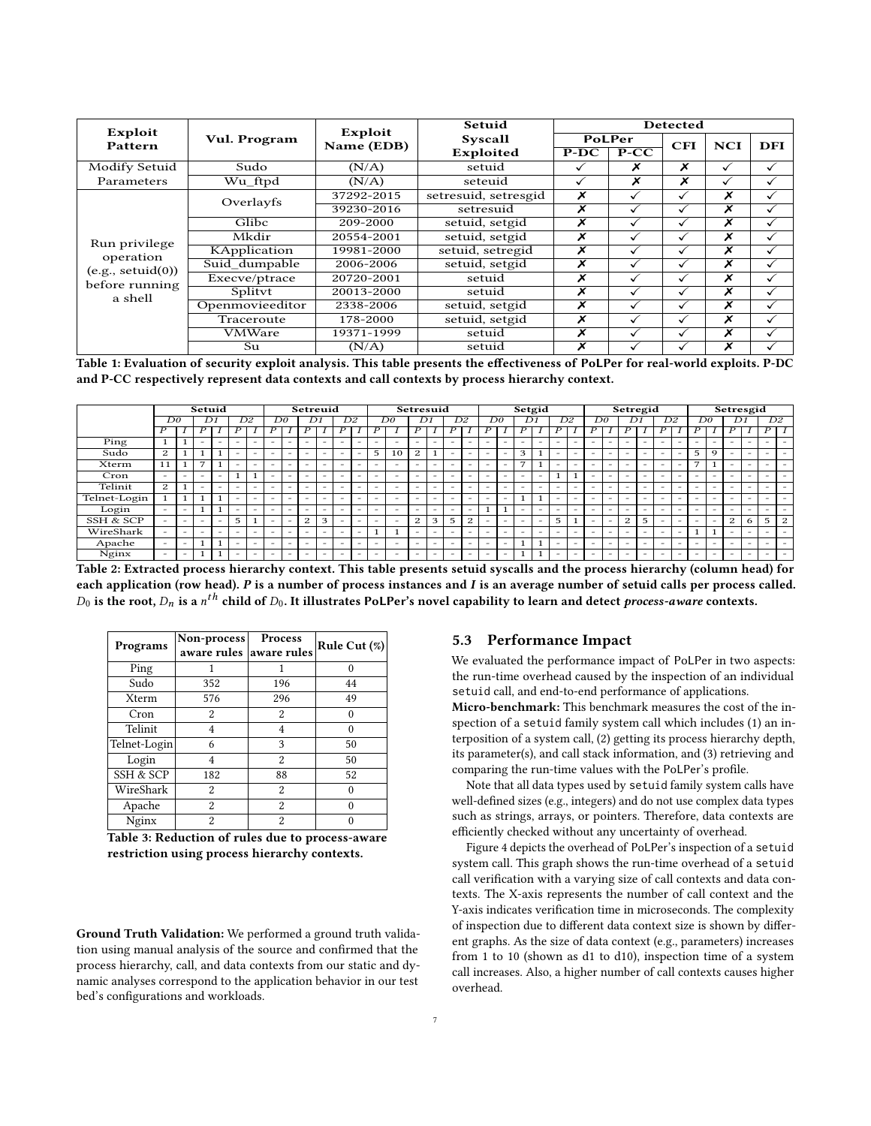<span id="page-6-1"></span>

| Exploit           |                 | Exploit    | Setuid               |                  |        | Detected     |                         |              |
|-------------------|-----------------|------------|----------------------|------------------|--------|--------------|-------------------------|--------------|
| Pattern           | Vul. Program    | Name (EDB) | Syscall              |                  | PoLPer | <b>CFI</b>   | <b>NCI</b>              | DFI          |
|                   |                 |            | Exploited            | $P-DC$           | $P-CC$ |              |                         |              |
| Modify Setuid     | Sudo            | (N/A)      | setuid               | $\checkmark$     | Х      | X            | $\checkmark$            | $\checkmark$ |
| Parameters        | Wu ftpd         | (N/A)      | seteuid              | $\checkmark$     | X      | x            | ✓                       | ✓            |
|                   | Overlayfs       | 37292-2015 | setresuid, setresgid | X                |        | ✓            | X                       |              |
|                   |                 | 39230-2016 | setresuid            | $\boldsymbol{x}$ | ✓      | ✓            | X                       | ✓            |
|                   | Glibe           | 209-2000   | setuid, setgid       | x                | ✓      | ✓            | X                       | ✓            |
| Run privilege     | Mkdir           | 20554-2001 | setuid, setgid       | x                | ✓      | ✓            | X                       | $\checkmark$ |
| operation         | KApplication    | 19981-2000 | setuid, setregid     | X                | ✓      | ✓            | X                       | ✓            |
| (e.g., setuid(0)) | Suid dumpable   | 2006-2006  | setuid, setgid       | x                | ✓      | ✓            | X                       | ✓            |
| before running    | Execve/ptrace   | 20720-2001 | setuid               | x                |        | ✓            | $\boldsymbol{x}$        | ✓            |
| a shell           | Splityt         | 20013-2000 | setuid               | X                |        | ✓            | X                       | ✓            |
|                   | Openmovieeditor | 2338-2006  | setuid, setgid       | x                |        | ✓            | X                       | $\checkmark$ |
|                   | Traceroute      | 178-2000   | setuid, setgid       | x                | ✓      | $\checkmark$ | X                       | $\checkmark$ |
|                   | <b>VMWare</b>   | 19371-1999 | setuid               | X                | ✓      |              | X                       | $\checkmark$ |
|                   | Su              | (N/A)      | setuid               | x                |        |              | $\overline{\mathbf{x}}$ |              |

Table 1: Evaluation of security exploit analysis. This table presents the effectiveness of PoLPer for real-world exploits. P-DC and P-CC respectively represent data contexts and call contexts by process hierarchy context.

<span id="page-6-0"></span>

|              |                          |                          | Setuid                   |                          |                          |                          |                          |                          | Setreuid                 |   |                          |                          |                          |                          | Setresuid                |   |                          |                          |                          |                          | Setgid                   |    |                          |                          |    |                          | Setregid                 |                          |                          |   |                          |                          | Setresgid                |                          |                          |                          |
|--------------|--------------------------|--------------------------|--------------------------|--------------------------|--------------------------|--------------------------|--------------------------|--------------------------|--------------------------|---|--------------------------|--------------------------|--------------------------|--------------------------|--------------------------|---|--------------------------|--------------------------|--------------------------|--------------------------|--------------------------|----|--------------------------|--------------------------|----|--------------------------|--------------------------|--------------------------|--------------------------|---|--------------------------|--------------------------|--------------------------|--------------------------|--------------------------|--------------------------|
|              | DO                       |                          |                          | $\overline{D1}$          |                          | D2                       |                          | Do                       | $\overline{D1}$          |   |                          | D2                       |                          | Do                       | $\overline{D1}$          |   |                          | $\overline{D2}$          |                          | Do                       | $\overline{D1}$          |    |                          | D2                       | Do |                          | D1                       |                          | D2                       |   |                          | Do                       |                          | $\overline{D1}$          |                          | D2                       |
|              |                          |                          |                          |                          |                          |                          |                          |                          |                          |   | P                        |                          | P                        |                          | D                        |   |                          |                          |                          |                          |                          |    |                          |                          |    |                          |                          |                          |                          |   |                          |                          |                          |                          | Ρ                        |                          |
| Ping         |                          |                          | $\overline{\phantom{a}}$ | $\overline{\phantom{a}}$ | $\overline{\phantom{a}}$ | -                        | $\overline{\phantom{a}}$ | $\overline{\phantom{a}}$ | $\overline{\phantom{a}}$ | - | $\overline{\phantom{a}}$ | -                        | $\overline{\phantom{a}}$ | $\overline{\phantom{a}}$ | $\overline{\phantom{a}}$ | - | $\overline{\phantom{a}}$ | -                        | -                        | -                        | $\overline{\phantom{a}}$ | -  | -                        |                          | -  | -                        | -                        | $\overline{\phantom{a}}$ | -                        | - | -                        | -                        | $\overline{\phantom{a}}$ |                          |                          | -                        |
| Sudo         | 2                        |                          |                          |                          | $\overline{\phantom{a}}$ | -                        |                          | $\overline{\phantom{a}}$ | $\overline{\phantom{a}}$ | - | $\overline{\phantom{a}}$ | $\overline{\phantom{a}}$ | 5                        | 10                       | 2                        |   | $\overline{\phantom{a}}$ | -                        | -                        | $\overline{\phantom{a}}$ | 3                        |    | -                        | -                        |    | -                        | -                        | $\overline{\phantom{a}}$ | -                        | - | 5                        | 9                        | $\overline{\phantom{a}}$ | -                        |                          |                          |
| Xterm        | 11                       |                          | 7                        |                          | $\overline{\phantom{a}}$ | $\overline{\phantom{a}}$ | $\overline{\phantom{a}}$ | $\overline{\phantom{a}}$ | $\overline{\phantom{a}}$ | - | $\overline{\phantom{a}}$ | -                        | $\overline{\phantom{a}}$ | $\overline{\phantom{a}}$ | -                        | - | $\overline{\phantom{a}}$ | $\overline{\phantom{a}}$ | $\overline{\phantom{a}}$ | $\overline{\phantom{a}}$ | $\overline{ }$           |    | $\overline{\phantom{a}}$ | -                        |    | $\overline{\phantom{a}}$ | $\overline{\phantom{a}}$ | $\overline{\phantom{a}}$ | -                        | - | 7                        |                          | $\overline{\phantom{a}}$ | $\overline{\phantom{a}}$ |                          | $\overline{\phantom{a}}$ |
| Cron         | $\overline{\phantom{a}}$ | $\overline{\phantom{a}}$ | $\overline{\phantom{a}}$ | $\overline{\phantom{a}}$ |                          | $\mathbf{1}$             |                          | $\overline{\phantom{a}}$ | $\overline{\phantom{a}}$ | - | $-$                      |                          | $\overline{\phantom{a}}$ | $\sim$                   | $\overline{\phantom{a}}$ | - | -                        | $\overline{\phantom{a}}$ | -                        | -                        | $\overline{\phantom{a}}$ | -  | $\mathbf{1}$             |                          |    | -                        | -                        | $\overline{\phantom{a}}$ | $\overline{\phantom{a}}$ | - | -                        | -                        | $\overline{\phantom{a}}$ |                          |                          |                          |
| Telinit      | 2                        |                          | -                        | $\overline{\phantom{a}}$ | $\overline{\phantom{a}}$ | $\overline{\phantom{a}}$ | $\overline{\phantom{a}}$ | $\overline{\phantom{a}}$ | $\overline{\phantom{a}}$ | - | $\overline{\phantom{a}}$ |                          | $\overline{\phantom{0}}$ | $\overline{\phantom{a}}$ | -                        | - | $\overline{\phantom{a}}$ | -                        | -                        | $\overline{\phantom{a}}$ | -                        | -  | -                        | -                        | -  | -                        | -                        | $\overline{\phantom{a}}$ | -                        | - | -                        | -                        | $\overline{\phantom{a}}$ | -                        | $\overline{\phantom{a}}$ | $\overline{\phantom{a}}$ |
| Telnet-Login |                          |                          | $\mathbf{1}$             |                          | -                        | $\overline{\phantom{a}}$ |                          | $\overline{\phantom{a}}$ | $\sim$                   | - | $\overline{\phantom{a}}$ |                          | $\overline{\phantom{a}}$ | $\overline{\phantom{a}}$ | -                        | - | $\overline{\phantom{a}}$ | -                        |                          | $\overline{\phantom{a}}$ |                          |    | $\overline{\phantom{a}}$ |                          |    | $\overline{\phantom{a}}$ | -                        | $\overline{\phantom{a}}$ | -                        |   | $\overline{\phantom{a}}$ | $\overline{\phantom{a}}$ | $\overline{\phantom{a}}$ | $\overline{\phantom{a}}$ |                          |                          |
| Login        | $\overline{\phantom{a}}$ | $\overline{\phantom{a}}$ | $\mathbf{1}$             |                          | $\overline{\phantom{a}}$ | $\overline{\phantom{a}}$ | $\overline{\phantom{a}}$ | $\overline{\phantom{a}}$ | $\overline{\phantom{a}}$ | - | $\overline{\phantom{a}}$ |                          | $\overline{\phantom{a}}$ | $\overline{\phantom{a}}$ | -                        | - | $\overline{\phantom{a}}$ | -                        |                          |                          | -                        | -  | $\overline{\phantom{a}}$ | $\overline{\phantom{a}}$ |    |                          | $\overline{\phantom{a}}$ | $\overline{\phantom{a}}$ | -                        |   | $\overline{\phantom{a}}$ | $\overline{\phantom{a}}$ | $\overline{\phantom{a}}$ | $\overline{\phantom{a}}$ | $\overline{\phantom{a}}$ | $\overline{\phantom{a}}$ |
| SSH & SCP    | $\overline{\phantom{a}}$ | $\overline{\phantom{a}}$ | -                        |                          | 5                        |                          |                          |                          | 2                        | 3 |                          |                          | $\overline{\phantom{0}}$ | $\overline{\phantom{a}}$ | 2                        | 3 | 5                        | 2                        |                          | $\overline{\phantom{a}}$ | -                        | -  | 5                        |                          |    |                          | 2                        | 5                        | -                        |   | $\overline{\phantom{a}}$ | $\overline{\phantom{a}}$ | 2                        | 6                        | 5                        | 2                        |
| WireShark    | $\overline{\phantom{a}}$ | $\overline{\phantom{a}}$ | -                        |                          | $\overline{\phantom{a}}$ |                          |                          | $\overline{\phantom{a}}$ | $\overline{\phantom{a}}$ |   | $\overline{\phantom{a}}$ | -                        |                          | ٠                        | -                        | - | -                        | -                        |                          | $\overline{\phantom{a}}$ | -                        | -  | -                        |                          |    |                          | $\overline{\phantom{a}}$ | $\overline{\phantom{a}}$ | -                        | - | $\mathbf{1}$             |                          | $\overline{\phantom{a}}$ | -                        |                          | $\overline{\phantom{a}}$ |
| Apache       |                          | $\overline{\phantom{a}}$ | $\mathbf{1}$             |                          | -                        |                          |                          | $\sim$                   | $\overline{\phantom{a}}$ |   | $\sim$                   |                          | -                        | $\overline{\phantom{a}}$ | -                        | - | -                        | -                        |                          | $\overline{\phantom{a}}$ | ۰.                       | -4 | $\overline{\phantom{a}}$ |                          |    |                          |                          | $\overline{\phantom{a}}$ | -                        |   |                          |                          | $\overline{\phantom{a}}$ |                          |                          |                          |
| Nginx        | $\overline{\phantom{a}}$ | $\overline{\phantom{a}}$ | $\mathbf{1}$             |                          | $\overline{\phantom{a}}$ | -                        | $\overline{\phantom{a}}$ | $\overline{\phantom{a}}$ | $\overline{\phantom{a}}$ | - | $\overline{\phantom{a}}$ | $\overline{\phantom{a}}$ | $\overline{\phantom{0}}$ | $\overline{\phantom{a}}$ | -                        | - | $\overline{\phantom{a}}$ | $\overline{\phantom{a}}$ | -                        | $\overline{\phantom{a}}$ |                          | н. | $\overline{\phantom{a}}$ | $\overline{\phantom{a}}$ | -  | -                        | -                        | $\overline{\phantom{a}}$ | $\overline{\phantom{a}}$ | - | -                        | $\overline{\phantom{a}}$ | $\overline{\phantom{a}}$ | -                        | $\overline{\phantom{a}}$ | $\overline{\phantom{a}}$ |

Table 2: Extracted process hierarchy context. This table presents setuid syscalls and the process hierarchy (column head) for each application (row head). P is a number of process instances and I is an average number of setuid calls per process called.  $D_0$  is the root,  $D_n$  is a  $n^{th}$  child of  $D_0$ . It illustrates PoLPer's novel capability to learn and detect *process-aware* contexts.

<span id="page-6-3"></span>

| Programs     | Non-process<br>aware rules | Process<br>aware rules | Rule Cut (%) |
|--------------|----------------------------|------------------------|--------------|
| Ping         |                            |                        | 0            |
| Sudo         | 352                        | 196                    | 44           |
| Xterm        | 576                        | 296                    | 49           |
| Cron         | 2                          | 2                      | 0            |
| Telinit      | 4                          | 4                      | 0            |
| Telnet-Login | 6                          | 3                      | 50           |
| Login        | 4                          | $\overline{2}$         | 50           |
| SSH & SCP    | 182                        | 88                     | 52           |
| WireShark    | 2                          | 2                      | 0            |
| Apache       | 2                          | $\overline{2}$         |              |
| Nginx        | $\overline{\mathbf{c}}$    | 2                      |              |

Table 3: Reduction of rules due to process-aware restriction using process hierarchy contexts.

Ground Truth Validation: We performed a ground truth validation using manual analysis of the source and confirmed that the process hierarchy, call, and data contexts from our static and dynamic analyses correspond to the application behavior in our test bed's configurations and workloads.

#### <span id="page-6-2"></span>5.3 Performance Impact

We evaluated the performance impact of PoLPer in two aspects: the run-time overhead caused by the inspection of an individual setuid call, and end-to-end performance of applications.

Micro-benchmark: This benchmark measures the cost of the inspection of a setuid family system call which includes (1) an interposition of a system call, (2) getting its process hierarchy depth, its parameter(s), and call stack information, and (3) retrieving and comparing the run-time values with the PoLPer's profile.

Note that all data types used by setuid family system calls have well-defined sizes (e.g., integers) and do not use complex data types such as strings, arrays, or pointers. Therefore, data contexts are efficiently checked without any uncertainty of overhead.

Figure [4](#page-7-2) depicts the overhead of PoLPer's inspection of a setuid system call. This graph shows the run-time overhead of a setuid call verification with a varying size of call contexts and data contexts. The X-axis represents the number of call context and the Y-axis indicates verification time in microseconds. The complexity of inspection due to different data context size is shown by different graphs. As the size of data context (e.g., parameters) increases from 1 to 10 (shown as d1 to d10), inspection time of a system call increases. Also, a higher number of call contexts causes higher overhead.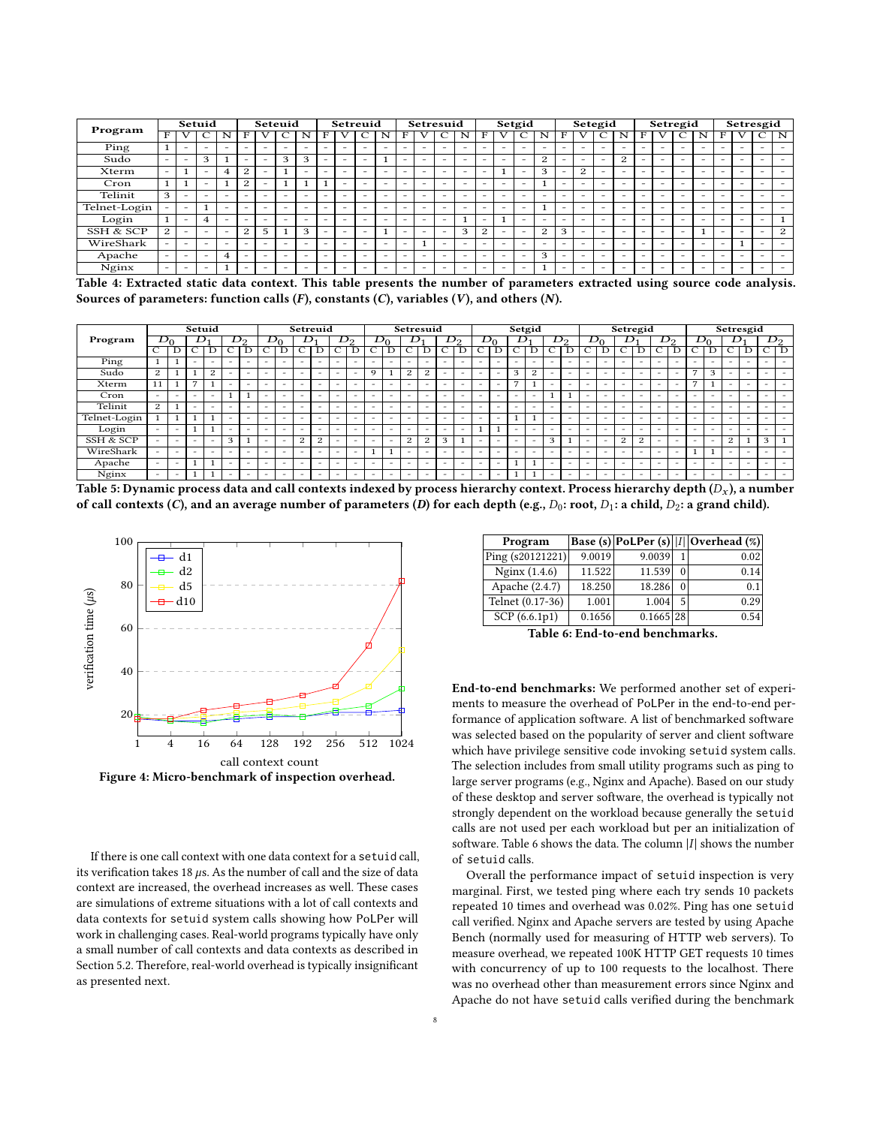<span id="page-7-0"></span>

| Program                                                                                                                   |                          |                          | Setuid                   |   |                |                          | Seteuid                  |   |                          | Setreuid |   |                          |                          |                          | Setresuid                |                          |   |                          | Setgid                   |   |   | Setegid |   |                          |                          |                          | Setregid                 |                          |                          | Setresgid |                          |   |
|---------------------------------------------------------------------------------------------------------------------------|--------------------------|--------------------------|--------------------------|---|----------------|--------------------------|--------------------------|---|--------------------------|----------|---|--------------------------|--------------------------|--------------------------|--------------------------|--------------------------|---|--------------------------|--------------------------|---|---|---------|---|--------------------------|--------------------------|--------------------------|--------------------------|--------------------------|--------------------------|-----------|--------------------------|---|
|                                                                                                                           |                          |                          |                          | N |                |                          |                          |   |                          |          |   | N                        | F                        |                          |                          | N                        |   |                          |                          |   |   |         |   | N                        |                          |                          | С                        | N                        |                          |           |                          | N |
| Ping                                                                                                                      |                          | $\overline{\phantom{0}}$ | -                        | - |                | -                        | -                        |   |                          | -        | - | $\overline{\phantom{0}}$ | $\overline{\phantom{0}}$ | $-$                      | $\overline{\phantom{0}}$ | -                        | - | $\overline{\phantom{0}}$ | -                        |   | - |         |   |                          | -                        | $\overline{\phantom{0}}$ | $-$                      | $\overline{\phantom{0}}$ | -                        |           | -                        |   |
| Sudo                                                                                                                      | $\sim$                   | $\sim$                   | 3                        |   |                | -                        | 3                        | 3 |                          |          | ۰ |                          | $\overline{\phantom{0}}$ | $\overline{\phantom{0}}$ | $\overline{\phantom{0}}$ | $\overline{\phantom{m}}$ | - | -                        | -                        | 2 |   | ۰       |   | 2                        | -                        | $\overline{\phantom{0}}$ | $\overline{\phantom{0}}$ | $\overline{\phantom{0}}$ | $\overline{\phantom{0}}$ |           |                          |   |
| Xterm                                                                                                                     | $\overline{\phantom{0}}$ |                          | -                        | 4 | $\overline{c}$ |                          |                          |   |                          |          |   | -                        | $\overline{\phantom{0}}$ | -                        | -                        | -                        | - |                          |                          | 3 |   | 2       |   |                          |                          |                          | -                        |                          | -                        |           |                          |   |
| Cron                                                                                                                      | 1                        |                          | -                        |   | $\overline{c}$ |                          |                          |   |                          |          | - |                          | $\overline{\phantom{0}}$ | $\overline{\phantom{0}}$ | $\overline{\phantom{0}}$ | $\equiv$                 | - | $\overline{\phantom{0}}$ |                          |   | - | -       |   | $\overline{\phantom{0}}$ | -                        | $\overline{\phantom{0}}$ | -                        | $\overline{\phantom{0}}$ |                          |           | -                        |   |
| Telinit                                                                                                                   | 3                        | $\sim$                   | -                        | - |                |                          | $\overline{\phantom{0}}$ |   |                          |          | - | -                        | $\overline{\phantom{0}}$ | $-$                      |                          | $\overline{\phantom{0}}$ | - | $\overline{\phantom{0}}$ | -                        | - | - |         |   | $\overline{\phantom{0}}$ | $\overline{\phantom{0}}$ | $\overline{\phantom{0}}$ | $\overline{\phantom{0}}$ | <b>-</b>                 | $\overline{\phantom{0}}$ | -         | $\overline{\phantom{0}}$ |   |
| Telnet-Login                                                                                                              |                          | $\overline{\phantom{0}}$ |                          | - |                |                          | -                        |   | $\overline{\phantom{0}}$ | -        | - | $\overline{\phantom{m}}$ | $\overline{\phantom{0}}$ | $\overline{\phantom{0}}$ | $\overline{\phantom{0}}$ | $\overline{\phantom{m}}$ | - | $\overline{\phantom{0}}$ | -                        |   | - | -       | - | $\overline{\phantom{0}}$ | -                        | $\overline{\phantom{0}}$ | $\overline{\phantom{0}}$ | $\overline{\phantom{m}}$ | $\overline{\phantom{0}}$ |           | -                        |   |
| Login                                                                                                                     |                          |                          | $\overline{4}$           | - |                |                          |                          |   |                          |          |   | -                        | $\overline{\phantom{0}}$ | $\overline{\phantom{0}}$ |                          |                          | - |                          |                          |   |   |         |   |                          |                          |                          |                          |                          |                          |           |                          |   |
| SSH & SCP                                                                                                                 | 2                        | $\overline{\phantom{0}}$ | -                        | - | 2              | 5                        |                          | З |                          |          | - |                          | $\overline{\phantom{0}}$ | $\overline{\phantom{0}}$ | $\sim$                   | 3                        | 2 | $\overline{\phantom{0}}$ | -                        | 2 | 3 |         |   | $\overline{\phantom{0}}$ | -                        | $\overline{\phantom{0}}$ | $\overline{\phantom{0}}$ |                          |                          | -         | -                        | 2 |
| WireShark                                                                                                                 | $\overline{\phantom{0}}$ | $\overline{\phantom{0}}$ | $\sim$                   |   |                |                          |                          |   |                          |          | - | $\overline{\phantom{0}}$ | $\overline{\phantom{0}}$ |                          | $\sim$                   | $\overline{\phantom{m}}$ |   | $\overline{\phantom{0}}$ |                          |   |   |         |   |                          |                          | -                        | $\overline{\phantom{0}}$ | $\overline{\phantom{0}}$ | $\overline{\phantom{0}}$ |           | <b>1</b>                 |   |
| Apache                                                                                                                    | $\overline{\phantom{0}}$ | $\overline{\phantom{0}}$ | $\overline{\phantom{0}}$ | 4 |                | $\overline{\phantom{0}}$ | $\overline{\phantom{0}}$ |   |                          |          | - | $\overline{\phantom{0}}$ | $\overline{\phantom{0}}$ | $-$                      | $\overline{\phantom{0}}$ | -                        | - | $\overline{\phantom{0}}$ | $\overline{\phantom{0}}$ | 3 | - | -       | - | $\overline{\phantom{0}}$ | $\overline{\phantom{0}}$ | $\overline{\phantom{0}}$ | -                        | $\overline{\phantom{0}}$ | $-$                      | -         | -                        |   |
| Nginx                                                                                                                     | $\equiv$                 | $\overline{\phantom{0}}$ | $\overline{\phantom{0}}$ |   |                |                          |                          |   |                          |          |   | ۰                        |                          | -                        |                          | $\equiv$                 | - | $\overline{\phantom{0}}$ |                          |   | - |         |   |                          |                          |                          |                          |                          | $\overline{\phantom{0}}$ |           |                          |   |
| Table 4: Extracted static data context. This table presents the number of parameters extracted using source code analysis |                          |                          |                          |   |                |                          |                          |   |                          |          |   |                          |                          |                          |                          |                          |   |                          |                          |   |   |         |   |                          |                          |                          |                          |                          |                          |           |                          |   |

Sources of parameters: function calls  $(F)$ , constants  $(C)$ , variables  $(V)$ , and others  $(N)$ .

<span id="page-7-1"></span>

|              |                          |                          | Setuid                        |                          |                          |                          |                          |                          |                          | Setreuid                 |                          |                          |                          |                          |                          | Setresuid                |                               |                          |                          |                          |                          | Setgid                   |                          |                          |                          |                          |                          | Setregid                 |                          |                          |                               |                          |                          | Setresgid                |                          |                          |
|--------------|--------------------------|--------------------------|-------------------------------|--------------------------|--------------------------|--------------------------|--------------------------|--------------------------|--------------------------|--------------------------|--------------------------|--------------------------|--------------------------|--------------------------|--------------------------|--------------------------|-------------------------------|--------------------------|--------------------------|--------------------------|--------------------------|--------------------------|--------------------------|--------------------------|--------------------------|--------------------------|--------------------------|--------------------------|--------------------------|--------------------------|-------------------------------|--------------------------|--------------------------|--------------------------|--------------------------|--------------------------|
| Program      | ⊅∩                       |                          |                               |                          |                          | レっ                       |                          | 120                      | ⊅                        |                          |                          | $D_2$                    |                          | ⊅∩                       |                          |                          |                               | $D_2$                    |                          |                          |                          |                          | $\mathbf{D}_{2}$         |                          |                          | $D_{\rm C}$              |                          |                          |                          | $J_{2}$                  |                               | הכו                      |                          |                          |                          | $D_2$                    |
|              | $\overline{C}$           | D                        | $\overline{\phantom{0}}$<br>◡ | D                        | $\overline{\text{C}}$    | D                        | $\overline{\phantom{0}}$ |                          | $\overline{\phantom{a}}$ |                          | で                        | D                        | ⌒<br>Č                   |                          | $\overline{\phantom{0}}$ | $\overline{\mathbf{D}}$  | $\overline{\phantom{1}}$<br>C | $\overline{\rm D}$       | $\overline{c}$           |                          | $\overline{\phantom{0}}$ |                          | $\overline{\phantom{0}}$ |                          | $\overline{\text{c}}$    | D                        | ⌒<br>Č                   |                          | $\overline{\phantom{0}}$ | D                        | $\overline{\phantom{1}}$<br>U | D                        | $\overline{C}$           | D                        | $\overline{\text{C}}$    | ĪБ                       |
| Ping         | н.                       |                          | -                             | $\overline{\phantom{a}}$ | $\overline{\phantom{a}}$ | -                        | $\overline{\phantom{a}}$ | $\overline{\phantom{a}}$ | $\overline{\phantom{a}}$ | -                        | $\overline{\phantom{a}}$ | -                        | $\overline{\phantom{0}}$ | -                        | $\overline{\phantom{a}}$ | $\overline{\phantom{a}}$ | $\overline{\phantom{a}}$      | $\overline{\phantom{a}}$ | -                        | -                        | $\overline{\phantom{a}}$ | $\overline{\phantom{a}}$ | $\overline{\phantom{a}}$ | -                        | $\overline{\phantom{a}}$ | $\overline{\phantom{0}}$ | $\overline{\phantom{a}}$ | -                        | $\overline{\phantom{a}}$ | $\overline{\phantom{0}}$ | -                             | $\overline{\phantom{a}}$ | -                        | $\overline{\phantom{a}}$ | $\overline{\phantom{a}}$ | $\overline{\phantom{0}}$ |
| Sudo         | 2                        |                          |                               | 2                        |                          | $\overline{\phantom{a}}$ | $\overline{\phantom{a}}$ | $\overline{\phantom{a}}$ | $\overline{\phantom{a}}$ | $\overline{\phantom{0}}$ | $\overline{\phantom{a}}$ | -                        | $\mathbf Q$              |                          | 2                        | 2                        | $\overline{\phantom{a}}$      | $\overline{\phantom{a}}$ | $\sim$                   | $\overline{\phantom{0}}$ | 3                        | 2                        | $\overline{\phantom{a}}$ | $\overline{\phantom{a}}$ | $\overline{\phantom{a}}$ | $\overline{\phantom{a}}$ | $\overline{\phantom{a}}$ | $\overline{\phantom{a}}$ | $\overline{\phantom{a}}$ | $\overline{\phantom{0}}$ | $\overline{ }$                | 3                        | $\sim$                   | $\overline{\phantom{a}}$ | $\overline{\phantom{a}}$ | -                        |
| Xterm        | 11                       |                          | $\overline{ }$                |                          | -                        | -                        | $\overline{\phantom{a}}$ | $\overline{\phantom{a}}$ | -                        | -                        | $\overline{\phantom{a}}$ | $\overline{\phantom{a}}$ | $\overline{\phantom{a}}$ | $\overline{\phantom{a}}$ | $\overline{\phantom{a}}$ | $\overline{\phantom{0}}$ | $\overline{\phantom{a}}$      | $\overline{\phantom{0}}$ | $\overline{\phantom{a}}$ | $\overline{\phantom{0}}$ | $\overline{ }$           |                          | $\overline{\phantom{a}}$ | $\overline{\phantom{0}}$ | $\overline{\phantom{a}}$ | $\overline{\phantom{0}}$ | $\overline{\phantom{a}}$ | $\overline{\phantom{a}}$ | $\overline{\phantom{a}}$ | <b>.</b>                 | $\overline{ }$                | ٠                        | -                        | $\overline{\phantom{a}}$ | $\overline{\phantom{a}}$ | $\overline{\phantom{0}}$ |
| Cron         | $\overline{\phantom{a}}$ | -                        | $\overline{\phantom{a}}$      | $\overline{\phantom{a}}$ |                          |                          | $\overline{\phantom{a}}$ | $\overline{\phantom{a}}$ |                          | -                        | $\overline{\phantom{a}}$ | -                        | $\overline{\phantom{a}}$ | $\overline{\phantom{a}}$ | $\overline{\phantom{a}}$ | <b>.</b>                 | $\overline{\phantom{a}}$      | $\overline{\phantom{0}}$ | -                        | -                        | $\overline{\phantom{a}}$ | $\overline{\phantom{a}}$ |                          |                          | $\overline{\phantom{a}}$ | $\overline{\phantom{0}}$ | $\overline{\phantom{a}}$ | $\overline{\phantom{a}}$ | $\overline{\phantom{a}}$ | $\overline{\phantom{0}}$ | -                             | $\overline{\phantom{0}}$ | -                        | $\overline{\phantom{a}}$ | $\overline{\phantom{a}}$ | -                        |
| Telinit      | 2                        |                          | -                             | -                        | $\overline{\phantom{a}}$ | -                        | $\overline{\phantom{a}}$ | $\overline{\phantom{a}}$ | $\overline{\phantom{a}}$ | -                        | $\overline{\phantom{a}}$ | $\overline{\phantom{a}}$ | $\overline{\phantom{a}}$ | $\overline{\phantom{a}}$ | $\overline{\phantom{a}}$ | $\overline{\phantom{a}}$ | $\overline{\phantom{a}}$      | $\overline{\phantom{0}}$ | $\overline{\phantom{a}}$ | $\overline{\phantom{a}}$ | $\overline{\phantom{0}}$ | $\overline{\phantom{a}}$ | $\overline{\phantom{0}}$ | $\overline{\phantom{0}}$ | $\overline{\phantom{a}}$ | $\overline{\phantom{0}}$ | $\overline{\phantom{a}}$ | $\overline{\phantom{a}}$ | $\overline{\phantom{a}}$ | $\overline{\phantom{0}}$ | -                             | $\overline{\phantom{a}}$ | $\sim$                   | $\overline{\phantom{a}}$ | $\overline{\phantom{0}}$ | $\overline{\phantom{0}}$ |
| Telnet-Login |                          |                          |                               | ٠                        | -                        | -                        | $\overline{\phantom{a}}$ | $\overline{\phantom{a}}$ | $\overline{\phantom{a}}$ | -                        | $\overline{\phantom{a}}$ | $\overline{\phantom{0}}$ | $\overline{\phantom{0}}$ | $\overline{\phantom{a}}$ | $\overline{\phantom{a}}$ | $\overline{\phantom{a}}$ | $\overline{\phantom{a}}$      | $\overline{\phantom{a}}$ | -                        | $\overline{\phantom{a}}$ |                          |                          | $\overline{\phantom{0}}$ | $\overline{\phantom{a}}$ | $\overline{\phantom{a}}$ | $\overline{\phantom{0}}$ | $\overline{\phantom{a}}$ | $\overline{\phantom{0}}$ | $\overline{\phantom{a}}$ | $\overline{\phantom{0}}$ | -                             | $\overline{\phantom{a}}$ | -                        | $\overline{\phantom{a}}$ | $\overline{\phantom{a}}$ | $\overline{\phantom{a}}$ |
| Login        | $\overline{\phantom{a}}$ | -                        |                               |                          | $\overline{\phantom{0}}$ | -                        | $\overline{\phantom{a}}$ | $\overline{\phantom{a}}$ | -                        | -                        | $\overline{\phantom{a}}$ | -                        | $\overline{\phantom{0}}$ | $\overline{\phantom{a}}$ | $\overline{\phantom{a}}$ | $\overline{\phantom{a}}$ | $\overline{\phantom{a}}$      | $\overline{\phantom{a}}$ |                          |                          | $\overline{\phantom{a}}$ | $\overline{\phantom{a}}$ | $\overline{\phantom{0}}$ | -                        | $\overline{\phantom{a}}$ | $\overline{\phantom{0}}$ | $\overline{\phantom{a}}$ | -                        | $\overline{\phantom{a}}$ | $\overline{\phantom{0}}$ | -                             | $\overline{\phantom{a}}$ | $\sim$                   | $\overline{\phantom{a}}$ | $\overline{\phantom{a}}$ | -                        |
| SSH & SCP    | $\overline{\phantom{a}}$ | $\overline{\phantom{a}}$ | $\overline{\phantom{a}}$      | $\overline{\phantom{a}}$ | 3                        |                          | $\overline{\phantom{a}}$ | $\overline{\phantom{a}}$ | 2                        | 2                        | $\overline{\phantom{a}}$ | $\sim$                   | $\overline{\phantom{a}}$ | -                        | 2                        | 2                        | 3                             | 1                        | -                        | $\overline{\phantom{a}}$ | $\overline{\phantom{a}}$ | $\overline{\phantom{a}}$ | 3                        |                          | $\overline{\phantom{a}}$ | $\overline{\phantom{0}}$ | 2                        | $\Omega$<br>∼            | -                        | $\overline{\phantom{0}}$ | -                             | $\overline{\phantom{0}}$ | 2                        |                          | 3                        |                          |
| WireShark    | $\overline{\phantom{a}}$ | -                        | $\overline{\phantom{a}}$      | $\overline{\phantom{a}}$ | $\overline{\phantom{a}}$ | -                        | $\overline{\phantom{a}}$ | $\overline{\phantom{a}}$ | $\overline{\phantom{a}}$ | $\overline{\phantom{0}}$ | $\overline{\phantom{a}}$ | $\overline{\phantom{0}}$ |                          |                          | $\overline{\phantom{a}}$ | $\overline{\phantom{a}}$ | $\overline{\phantom{a}}$      | $\overline{\phantom{a}}$ | $\overline{\phantom{a}}$ | $\overline{\phantom{a}}$ | $\overline{\phantom{a}}$ | $\overline{\phantom{a}}$ | $\overline{\phantom{a}}$ | $\overline{\phantom{a}}$ | $\overline{\phantom{a}}$ | $\overline{\phantom{0}}$ | $\overline{\phantom{a}}$ | $\overline{\phantom{0}}$ | $\overline{\phantom{a}}$ | $\overline{\phantom{0}}$ |                               | $\mathbf{1}$             | $\overline{\phantom{a}}$ | $\overline{\phantom{a}}$ | $\sim$                   | -                        |
| Apache       | $\overline{\phantom{a}}$ | -                        |                               | ч.                       | $\overline{\phantom{a}}$ | -                        | $\overline{\phantom{a}}$ | $\overline{\phantom{a}}$ | $\overline{\phantom{a}}$ | -                        | $\overline{\phantom{a}}$ | $\sim$                   | $\overline{\phantom{a}}$ | $\overline{\phantom{a}}$ | $\overline{\phantom{a}}$ | $\overline{\phantom{a}}$ | $\overline{\phantom{a}}$      | $\overline{\phantom{a}}$ | $\overline{\phantom{a}}$ | -                        |                          |                          | -                        | $\overline{\phantom{a}}$ | $\overline{\phantom{a}}$ | $\overline{\phantom{a}}$ | $\overline{\phantom{a}}$ | $\overline{\phantom{0}}$ | -                        | $\overline{\phantom{0}}$ | -                             | $\overline{\phantom{a}}$ | $\sim$                   | $\overline{\phantom{a}}$ | $\overline{\phantom{a}}$ | $\overline{\phantom{0}}$ |
| Nginx        | $\overline{\phantom{a}}$ | -                        |                               | п.                       | $\overline{\phantom{a}}$ | -                        | $\overline{\phantom{a}}$ | $\overline{\phantom{a}}$ | $\overline{\phantom{a}}$ | -                        | $\overline{\phantom{a}}$ | -                        | $\overline{\phantom{a}}$ | -                        | $\overline{\phantom{a}}$ | $\overline{\phantom{a}}$ | $\overline{\phantom{a}}$      | $\sim$                   | $\overline{\phantom{a}}$ | $\overline{\phantom{a}}$ | -1                       |                          | $\overline{\phantom{a}}$ | $\overline{\phantom{a}}$ | $\overline{\phantom{a}}$ | -                        | $\overline{\phantom{a}}$ | $\overline{\phantom{a}}$ | $\overline{\phantom{a}}$ | $\overline{\phantom{0}}$ | -                             | $\overline{\phantom{0}}$ | -                        | $\overline{\phantom{a}}$ | $\overline{\phantom{a}}$ | $\overline{\phantom{0}}$ |

Table 5: Dynamic process data and call contexts indexed by process hierarchy context. Process hierarchy depth  $(D_x)$ , a number of call contexts (C), and an average number of parameters (D) for each depth (e.g.,  $D_0$ : root,  $D_1$ : a child,  $D_2$ : a grand child).

<span id="page-7-2"></span>

Figure 4: Micro-benchmark of inspection overhead.

If there is one call context with one data context for a setuid call, its verification takes 18  $\mu$ s. As the number of call and the size of data context are increased, the overhead increases as well. These cases are simulations of extreme situations with a lot of call contexts and data contexts for setuid system calls showing how PoLPer will work in challenging cases. Real-world programs typically have only a small number of call contexts and data contexts as described in Section [5.2.](#page-5-0) Therefore, real-world overhead is typically insignificant as presented next.

<span id="page-7-3"></span>

| Program            |        |           |          | Base (s) PoLPer (s)   I  Overhead (%) |
|--------------------|--------|-----------|----------|---------------------------------------|
| Ping $(s20121221)$ | 9.0019 | 9.0039    |          | 0.02                                  |
| Nginx $(1.4.6)$    | 11.522 | 11.539    | $\Omega$ | 0.14                                  |
| Apache (2.4.7)     | 18.250 | 18.286    |          | 0.1                                   |
| Telnet (0.17-36)   | 1.001  | 1.004     | 5        | 0.29                                  |
| SCP(6.6.1p1)       | 0.1656 | 0.1665 28 |          | 0.54                                  |

Table 6: End-to-end benchmarks.

End-to-end benchmarks: We performed another set of experiments to measure the overhead of PoLPer in the end-to-end performance of application software. A list of benchmarked software was selected based on the popularity of server and client software which have privilege sensitive code invoking setuid system calls. The selection includes from small utility programs such as ping to large server programs (e.g., Nginx and Apache). Based on our study of these desktop and server software, the overhead is typically not strongly dependent on the workload because generally the setuid calls are not used per each workload but per an initialization of software. Table [6](#page-7-3) shows the data. The column  $|I|$  shows the number of setuid calls.

Overall the performance impact of setuid inspection is very marginal. First, we tested ping where each try sends 10 packets repeated 10 times and overhead was 0.02%. Ping has one setuid call verified. Nginx and Apache servers are tested by using Apache Bench (normally used for measuring of HTTP web servers). To measure overhead, we repeated 100K HTTP GET requests 10 times with concurrency of up to 100 requests to the localhost. There was no overhead other than measurement errors since Nginx and Apache do not have setuid calls verified during the benchmark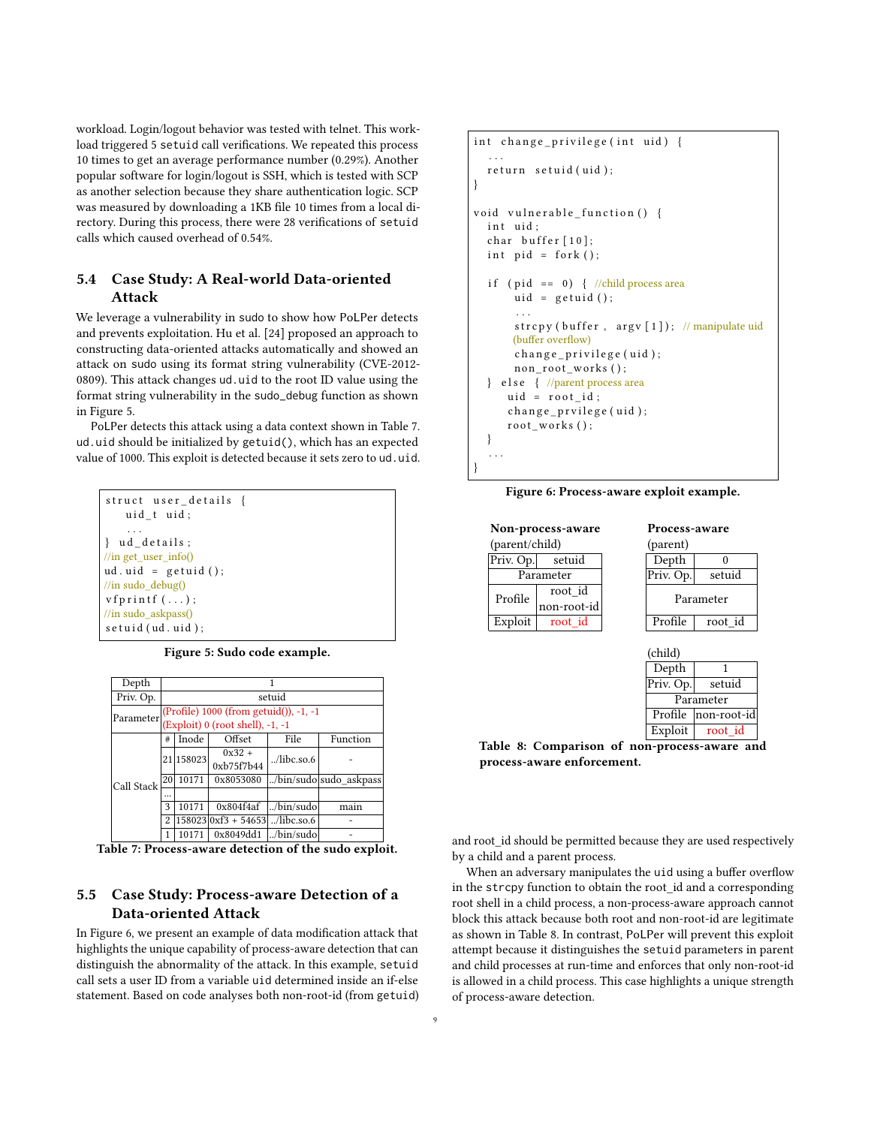workload. Login/logout behavior was tested with telnet. This workload triggered 5 setuid call verifications. We repeated this process 10 times to get an average performance number (0.29%). Another popular software for login/logout is SSH, which is tested with SCP as another selection because they share authentication logic. SCP was measured by downloading a 1KB file 10 times from a local directory. During this process, there were 28 verifications of setuid calls which caused overhead of 0.54%.

## 5.4 Case Study: A Real-world Data-oriented Attack

We leverage a vulnerability in sudo to show how PoLPer detects and prevents exploitation. Hu et al. [\[24\]](#page-11-13) proposed an approach to constructing data-oriented attacks automatically and showed an attack on sudo using its format string vulnerability (CVE-2012- 0809). This attack changes ud.uid to the root ID value using the format string vulnerability in the sudo\_debug function as shown in Figure [5.](#page-8-0)

PoLPer detects this attack using a data context shown in Table [7.](#page-8-0) ud.uid should be initialized by getuid(), which has an expected value of 1000. This exploit is detected because it sets zero to ud.uid.

```
struct user_details {
    uid t uid;
     . . .
} ud_details;
//in get_user_info()
ud.uid = getuid();
//in sudo_debug()
v f p r i n t f (\ldots);
//in sudo_askpass()
s e t u i d (ud. u i d);
```
Figure 5: Sudo code example.

| Depth      |    |            |                                        | 1                   |                        |
|------------|----|------------|----------------------------------------|---------------------|------------------------|
| Priv. Op.  |    |            |                                        | setuid              |                        |
| Parameter  |    |            | (Profile) 1000 (from getuid()), -1, -1 |                     |                        |
|            |    |            | (Exploit) 0 (root shell), -1, -1       |                     |                        |
|            | #  | Inode      | Offset                                 | File                | Function               |
|            |    | 21 158 023 | $0x32 +$                               | $\ldots$ /libc.so.6 |                        |
|            |    |            | 0xb75f7b44                             |                     |                        |
| Call Stack | 20 | 10171      | 0x8053080                              |                     | /bin/sudo sudo askpass |
|            |    |            |                                        |                     |                        |
|            | 3  | 10171      | 0x804f4af                              | /bin/sudo           | main                   |
|            | 2  |            | $ 158023 0xf3 + 54653 $ /libc.so.6     |                     |                        |
|            | 1  | 10171      | $0x8049dd1$ /bin/sudo                  |                     |                        |

Table 7: Process-aware detection of the sudo exploit.

## 5.5 Case Study: Process-aware Detection of a Data-oriented Attack

In Figure [6,](#page-8-1) we present an example of data modification attack that highlights the unique capability of process-aware detection that can distinguish the abnormality of the attack. In this example, setuid call sets a user ID from a variable uid determined inside an if-else statement. Based on code analyses both non-root-id (from getuid)

```
int change_privilege(int uid) {
   . . .
  return setuid (uid);
}
void vulnerable_function () {
  int uid:
  char buffer [10];
  int pid = fork();
  if (pid == 0) { //child process area
      uid = getuid();. . .
      strcpy (buffer, argv[1]); // manipulate uid
      (buffer overflow)
      change_privilege(uid);
      n on_root_works();
  } else { //parent process area
      uid = root_id;change_prvilege(uid);
     root_works();
  }
  . . .
}
```
Figure 6: Process-aware exploit example.

|                | <b>Non-process-aware</b> |         |           | Process-aware |
|----------------|--------------------------|---------|-----------|---------------|
| (parent/child) |                          |         | (parent)  |               |
| Priv. Op.      | setuid                   |         | Depth     |               |
|                | Parameter                |         | Priv. Op. | setuid        |
| Profile        | root_id<br>non-root-id   |         |           | Parameter     |
| Exploit        | root id                  |         | Profile   | root id       |
|                |                          | (child) | Denth     |               |

| Depth     |                      |
|-----------|----------------------|
| Priv. Op. | setuid               |
|           | Parameter            |
|           | Profile  non-root-id |
| Exploit   | root id              |

Table 8: Comparison of non-process-aware and process-aware enforcement.

and root id should be permitted because they are used respectively by a child and a parent process.

When an adversary manipulates the uid using a buffer overflow in the strcpy function to obtain the root\_id and a corresponding root shell in a child process, a non-process-aware approach cannot block this attack because both root and non-root-id are legitimate as shown in Table [8.](#page-8-1) In contrast, PoLPer will prevent this exploit attempt because it distinguishes the setuid parameters in parent and child processes at run-time and enforces that only non-root-id is allowed in a child process. This case highlights a unique strength of process-aware detection.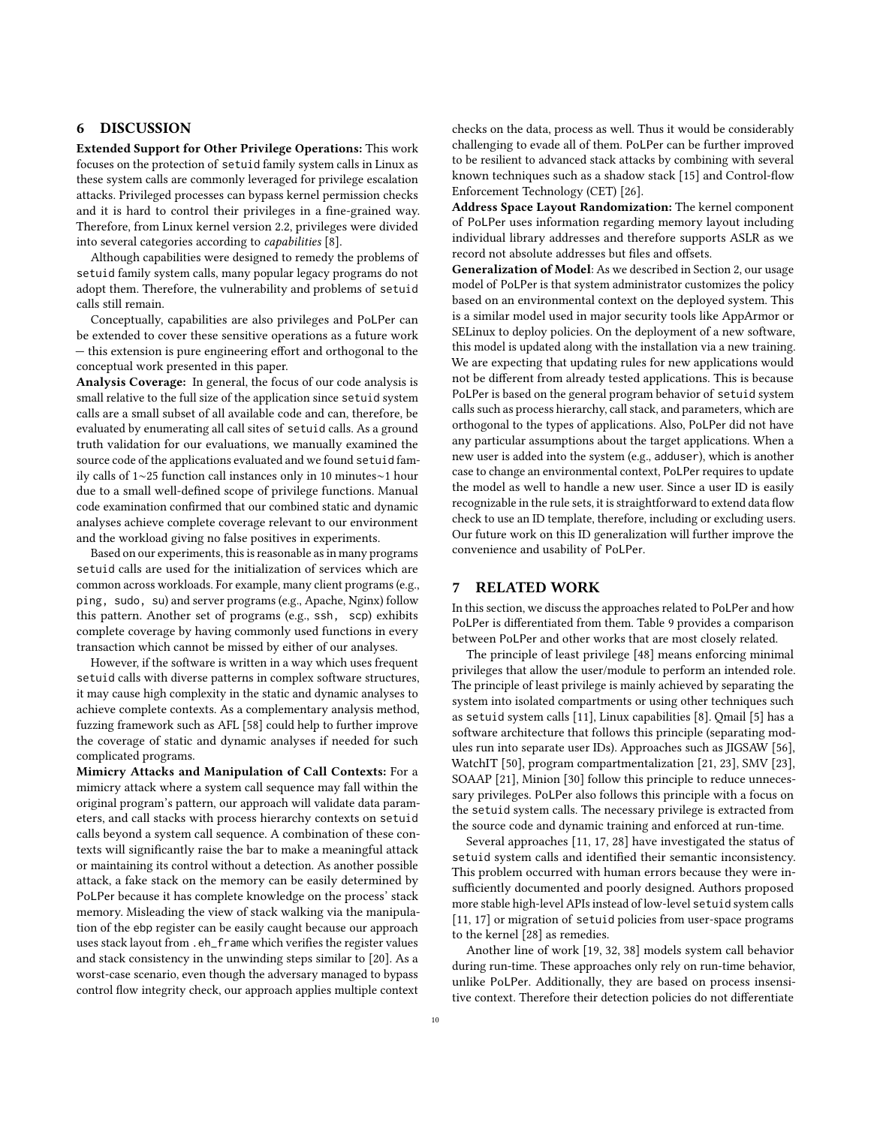## 6 DISCUSSION

Extended Support for Other Privilege Operations: This work focuses on the protection of setuid family system calls in Linux as these system calls are commonly leveraged for privilege escalation attacks. Privileged processes can bypass kernel permission checks and it is hard to control their privileges in a fine-grained way. Therefore, from Linux kernel version 2.2, privileges were divided into several categories according to capabilities [\[8\]](#page-11-26).

Although capabilities were designed to remedy the problems of setuid family system calls, many popular legacy programs do not adopt them. Therefore, the vulnerability and problems of setuid calls still remain.

Conceptually, capabilities are also privileges and PoLPer can be extended to cover these sensitive operations as a future work — this extension is pure engineering effort and orthogonal to the conceptual work presented in this paper.

Analysis Coverage: In general, the focus of our code analysis is small relative to the full size of the application since setuid system calls are a small subset of all available code and can, therefore, be evaluated by enumerating all call sites of setuid calls. As a ground truth validation for our evaluations, we manually examined the source code of the applications evaluated and we found setuid family calls of 1∼25 function call instances only in 10 minutes∼1 hour due to a small well-defined scope of privilege functions. Manual code examination confirmed that our combined static and dynamic analyses achieve complete coverage relevant to our environment and the workload giving no false positives in experiments.

Based on our experiments, this is reasonable as in many programs setuid calls are used for the initialization of services which are common across workloads. For example, many client programs (e.g., ping, sudo, su) and server programs (e.g., Apache, Nginx) follow this pattern. Another set of programs (e.g., ssh, scp) exhibits complete coverage by having commonly used functions in every transaction which cannot be missed by either of our analyses.

However, if the software is written in a way which uses frequent setuid calls with diverse patterns in complex software structures, it may cause high complexity in the static and dynamic analyses to achieve complete contexts. As a complementary analysis method, fuzzing framework such as AFL [\[58\]](#page-11-27) could help to further improve the coverage of static and dynamic analyses if needed for such complicated programs.

Mimicry Attacks and Manipulation of Call Contexts: For a mimicry attack where a system call sequence may fall within the original program's pattern, our approach will validate data parameters, and call stacks with process hierarchy contexts on setuid calls beyond a system call sequence. A combination of these contexts will significantly raise the bar to make a meaningful attack or maintaining its control without a detection. As another possible attack, a fake stack on the memory can be easily determined by PoLPer because it has complete knowledge on the process' stack memory. Misleading the view of stack walking via the manipulation of the ebp register can be easily caught because our approach uses stack layout from .eh\_frame which verifies the register values and stack consistency in the unwinding steps similar to [\[20\]](#page-11-28). As a worst-case scenario, even though the adversary managed to bypass control flow integrity check, our approach applies multiple context

checks on the data, process as well. Thus it would be considerably challenging to evade all of them. PoLPer can be further improved to be resilient to advanced stack attacks by combining with several known techniques such as a shadow stack [\[15\]](#page-11-29) and Control-flow Enforcement Technology (CET) [\[26\]](#page-11-30).

Address Space Layout Randomization: The kernel component of PoLPer uses information regarding memory layout including individual library addresses and therefore supports ASLR as we record not absolute addresses but files and offsets.

Generalization of Model: As we described in Section [2,](#page-2-2) our usage model of PoLPer is that system administrator customizes the policy based on an environmental context on the deployed system. This is a similar model used in major security tools like AppArmor or SELinux to deploy policies. On the deployment of a new software, this model is updated along with the installation via a new training. We are expecting that updating rules for new applications would not be different from already tested applications. This is because PoLPer is based on the general program behavior of setuid system calls such as process hierarchy, call stack, and parameters, which are orthogonal to the types of applications. Also, PoLPer did not have any particular assumptions about the target applications. When a new user is added into the system (e.g., adduser), which is another case to change an environmental context, PoLPer requires to update the model as well to handle a new user. Since a user ID is easily recognizable in the rule sets, it is straightforward to extend data flow check to use an ID template, therefore, including or excluding users. Our future work on this ID generalization will further improve the convenience and usability of PoLPer.

#### 7 RELATED WORK

In this section, we discuss the approaches related to PoLPer and how PoLPer is differentiated from them. Table [9](#page-10-0) provides a comparison between PoLPer and other works that are most closely related.

The principle of least privilege [\[48\]](#page-11-2) means enforcing minimal privileges that allow the user/module to perform an intended role. The principle of least privilege is mainly achieved by separating the system into isolated compartments or using other techniques such as setuid system calls [\[11\]](#page-11-1), Linux capabilities [\[8\]](#page-11-26). Qmail [\[5\]](#page-11-5) has a software architecture that follows this principle (separating modules run into separate user IDs). Approaches such as JIGSAW [\[56\]](#page-11-31), WatchIT [\[50\]](#page-11-32), program compartmentalization [\[21,](#page-11-3) [23\]](#page-11-4), SMV [\[23\]](#page-11-4), SOAAP [\[21\]](#page-11-3), Minion [\[30\]](#page-11-33) follow this principle to reduce unnecessary privileges. PoLPer also follows this principle with a focus on the setuid system calls. The necessary privilege is extracted from the source code and dynamic training and enforced at run-time.

Several approaches [\[11,](#page-11-1) [17,](#page-11-34) [28\]](#page-11-35) have investigated the status of setuid system calls and identified their semantic inconsistency. This problem occurred with human errors because they were insufficiently documented and poorly designed. Authors proposed more stable high-level APIs instead of low-level setuid system calls [\[11,](#page-11-1) [17\]](#page-11-34) or migration of setuid policies from user-space programs to the kernel [\[28\]](#page-11-35) as remedies.

Another line of work [\[19,](#page-11-36) [32,](#page-11-37) [38\]](#page-11-38) models system call behavior during run-time. These approaches only rely on run-time behavior, unlike PoLPer. Additionally, they are based on process insensitive context. Therefore their detection policies do not differentiate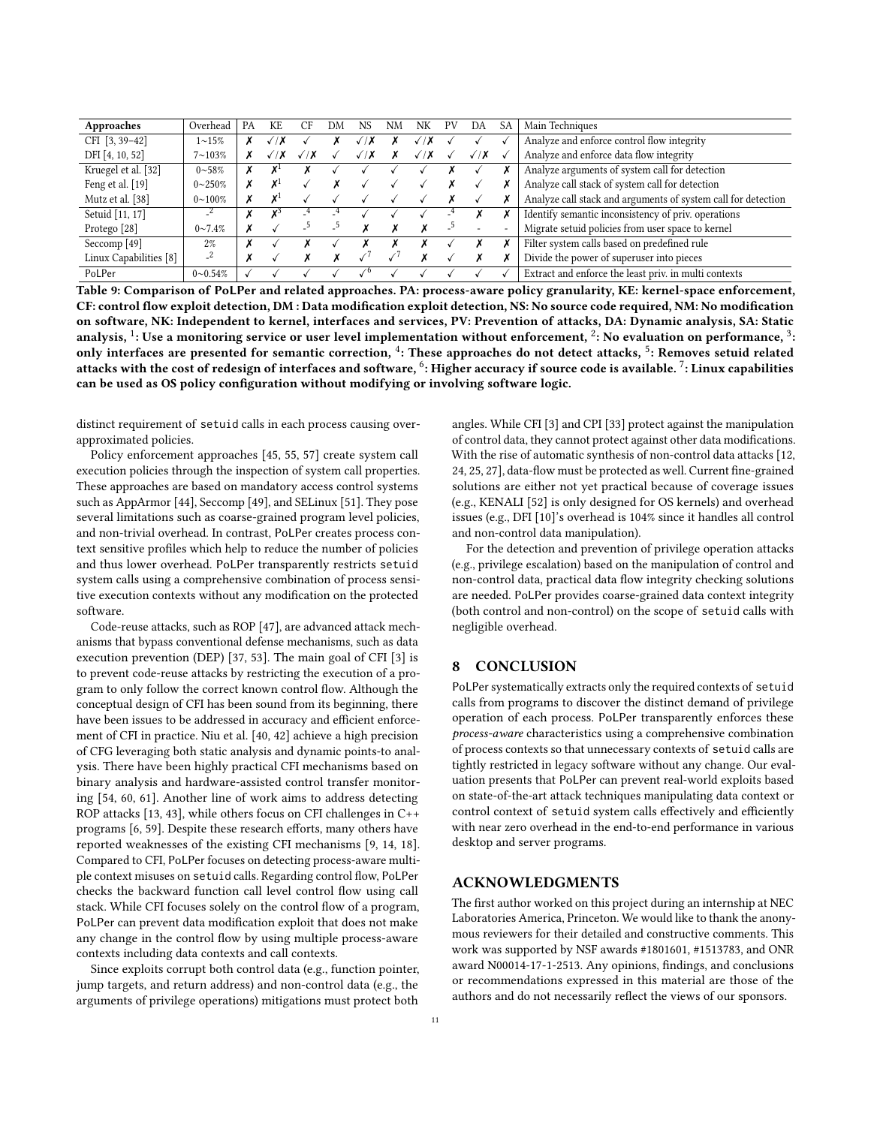<span id="page-10-0"></span>

| Approaches              | Overhead        | PA | KE.     | CF       | DM | NS | N <sub>N</sub> | NΚ | PV | DА         | SА | Main Techniques                                               |
|-------------------------|-----------------|----|---------|----------|----|----|----------------|----|----|------------|----|---------------------------------------------------------------|
| CFI [3, 39-42]          | $1 \sim 15\%$   |    |         |          |    | ↗  |                |    |    |            |    | Analyze and enforce control flow integrity                    |
| DFI [4, 10, 52]         | $7 - 103\%$     |    | 1 X     | $\gamma$ |    | 'X |                | 'X |    | $\sqrt{X}$ |    | Analyze and enforce data flow integrity                       |
| Kruegel et al. [32]     | $0 - 58\%$      |    |         |          |    |    |                |    |    |            |    | Analyze arguments of system call for detection                |
| Feng et al. [19]        | $0 \sim 250\%$  |    | v.<br>Λ |          |    |    |                |    |    |            |    | Analyze call stack of system call for detection               |
| Mutz et al. [38]        | $0 \sim 100\%$  |    | χl      |          |    |    |                |    |    |            |    | Analyze call stack and arguments of system call for detection |
| Setuid [11, 17]         | $-4$            |    | v.      |          |    |    |                |    |    |            |    | Identify semantic inconsistency of priv. operations           |
| Protego <sup>[28]</sup> | $0 \sim 7.4\%$  |    |         |          |    |    |                |    |    |            |    | Migrate setuid policies from user space to kernel             |
| Seccomp <sup>[49]</sup> | $2\%$           |    |         |          |    |    |                |    |    |            |    | Filter system calls based on predefined rule                  |
| Linux Capabilities [8]  | $-4$            |    |         |          |    |    |                |    |    |            |    | Divide the power of superuser into pieces                     |
| PoLPer                  | $0 \sim 0.54\%$ |    |         |          |    |    |                |    |    |            |    | Extract and enforce the least priv. in multi contexts         |

Table 9: Comparison of PoLPer and related approaches. PA: process-aware policy granularity, KE: kernel-space enforcement, CF: control flow exploit detection, DM : Data modification exploit detection, NS: No source code required, NM: No modification on software, NK: Independent to kernel, interfaces and services, PV: Prevention of attacks, DA: Dynamic analysis, SA: Static analysis, <sup>1</sup>: Use a monitoring service or user level implementation without enforcement, <sup>2</sup>: No evaluation on performance, <sup>3</sup>: only interfaces are presented for semantic correction, <sup>4</sup>: These approaches do not detect attacks, <sup>5</sup>: Removes setuid related attacks with the cost of redesign of interfaces and software, <sup>6</sup>: Higher accuracy if source code is available. <sup>7</sup>: Linux capabilities can be used as OS policy configuration without modifying or involving software logic.

distinct requirement of setuid calls in each process causing overapproximated policies.

Policy enforcement approaches [\[45,](#page-11-43) [55,](#page-11-44) [57\]](#page-11-45) create system call execution policies through the inspection of system call properties. These approaches are based on mandatory access control systems such as AppArmor [\[44\]](#page-11-46), Seccomp [\[49\]](#page-11-6), and SELinux [\[51\]](#page-11-47). They pose several limitations such as coarse-grained program level policies, and non-trivial overhead. In contrast, PoLPer creates process context sensitive profiles which help to reduce the number of policies and thus lower overhead. PoLPer transparently restricts setuid system calls using a comprehensive combination of process sensitive execution contexts without any modification on the protected software.

Code-reuse attacks, such as ROP [\[47\]](#page-11-12), are advanced attack mechanisms that bypass conventional defense mechanisms, such as data execution prevention (DEP) [\[37,](#page-11-15) [53\]](#page-11-16). The main goal of CFI [\[3\]](#page-11-21) is to prevent code-reuse attacks by restricting the execution of a program to only follow the correct known control flow. Although the conceptual design of CFI has been sound from its beginning, there have been issues to be addressed in accuracy and efficient enforcement of CFI in practice. Niu et al. [\[40,](#page-11-48) [42\]](#page-11-40) achieve a high precision of CFG leveraging both static analysis and dynamic points-to analysis. There have been highly practical CFI mechanisms based on binary analysis and hardware-assisted control transfer monitoring [\[54,](#page-11-49) [60,](#page-11-50) [61\]](#page-11-51). Another line of work aims to address detecting ROP attacks [\[13,](#page-11-52) [43\]](#page-11-53), while others focus on CFI challenges in C++ programs [\[6,](#page-11-54) [59\]](#page-11-55). Despite these research efforts, many others have reported weaknesses of the existing CFI mechanisms [\[9,](#page-11-56) [14,](#page-11-57) [18\]](#page-11-58). Compared to CFI, PoLPer focuses on detecting process-aware multiple context misuses on setuid calls. Regarding control flow, PoLPer checks the backward function call level control flow using call stack. While CFI focuses solely on the control flow of a program, PoLPer can prevent data modification exploit that does not make any change in the control flow by using multiple process-aware contexts including data contexts and call contexts.

Since exploits corrupt both control data (e.g., function pointer, jump targets, and return address) and non-control data (e.g., the arguments of privilege operations) mitigations must protect both

angles. While CFI [\[3\]](#page-11-21) and CPI [\[33\]](#page-11-59) protect against the manipulation of control data, they cannot protect against other data modifications. With the rise of automatic synthesis of non-control data attacks [\[12,](#page-11-22) [24,](#page-11-13) [25,](#page-11-60) [27\]](#page-11-14), data-flow must be protected as well. Current fine-grained solutions are either not yet practical because of coverage issues (e.g., KENALI [\[52\]](#page-11-42) is only designed for OS kernels) and overhead issues (e.g., DFI [\[10\]](#page-11-23)'s overhead is 104% since it handles all control and non-control data manipulation).

For the detection and prevention of privilege operation attacks (e.g., privilege escalation) based on the manipulation of control and non-control data, practical data flow integrity checking solutions are needed. PoLPer provides coarse-grained data context integrity (both control and non-control) on the scope of setuid calls with negligible overhead.

#### 8 CONCLUSION

PoLPer systematically extracts only the required contexts of setuid calls from programs to discover the distinct demand of privilege operation of each process. PoLPer transparently enforces these process-aware characteristics using a comprehensive combination of process contexts so that unnecessary contexts of setuid calls are tightly restricted in legacy software without any change. Our evaluation presents that PoLPer can prevent real-world exploits based on state-of-the-art attack techniques manipulating data context or control context of setuid system calls effectively and efficiently with near zero overhead in the end-to-end performance in various desktop and server programs.

## ACKNOWLEDGMENTS

The first author worked on this project during an internship at NEC Laboratories America, Princeton. We would like to thank the anonymous reviewers for their detailed and constructive comments. This work was supported by NSF awards #1801601, #1513783, and ONR award N00014-17-1-2513. Any opinions, findings, and conclusions or recommendations expressed in this material are those of the authors and do not necessarily reflect the views of our sponsors.